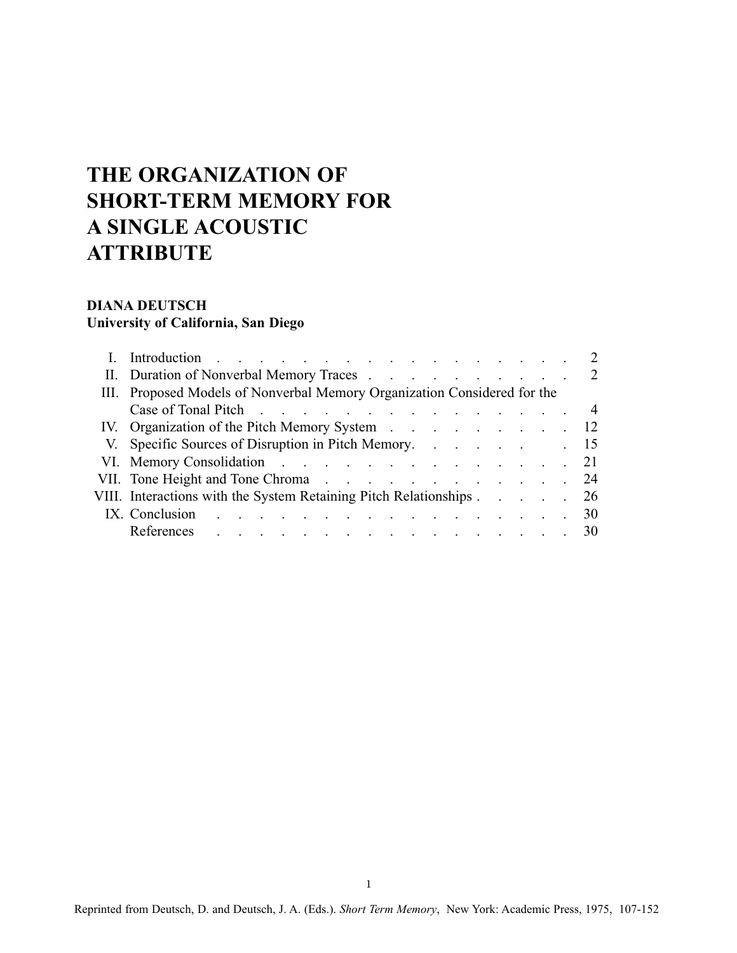# THE ORGANIZATION OF SHORT-TERM MEMORY FOR A SINGLE ACOUSTIC **ATTRIBUTE**

# DIANA DEUTSCH University of California, San Diego

|                                                                                           |  | 2 |
|-------------------------------------------------------------------------------------------|--|---|
| II. Duration of Nonverbal Memory Traces 2                                                 |  |   |
| III. Proposed Models of Nonverbal Memory Organization Considered for the                  |  |   |
| Case of Tonal Pitch 4                                                                     |  |   |
| IV. Organization of the Pitch Memory System 12                                            |  |   |
| V. Specific Sources of Disruption in Pitch Memory. 15                                     |  |   |
| VI. Memory Consolidation 21                                                               |  |   |
|                                                                                           |  |   |
| VIII. Interactions with the System Retaining Pitch Relationships 26                       |  |   |
| IX. Conclusion $\cdots$ $\cdots$ $\cdots$ $\cdots$ $\cdots$ $\cdots$ $\cdots$ $\cdots$ 30 |  |   |
| References 30                                                                             |  |   |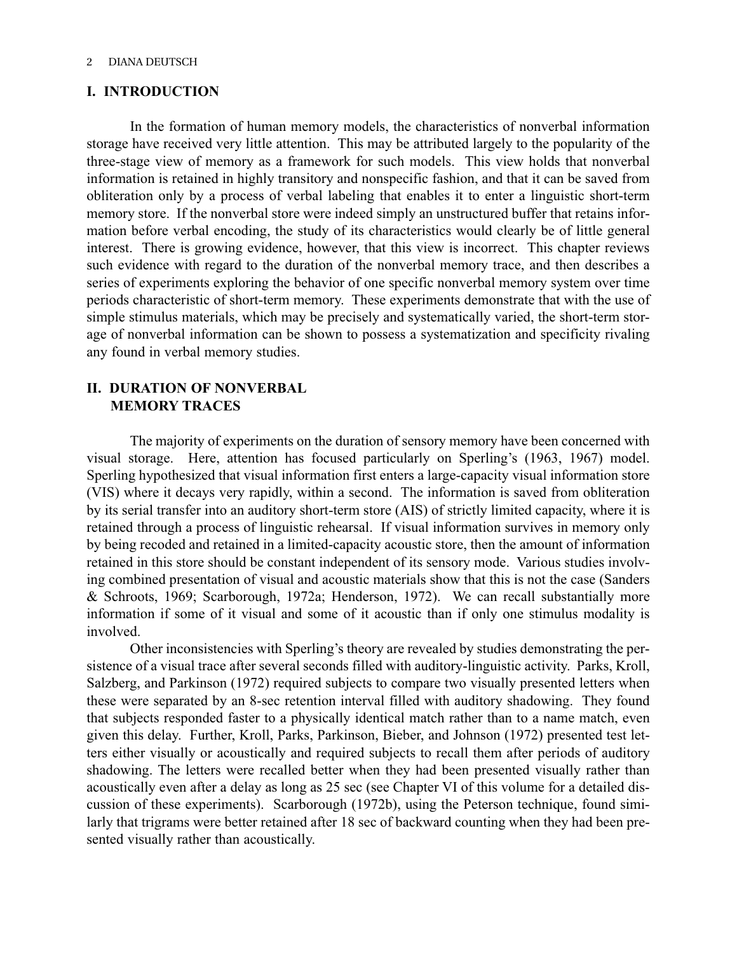#### 2 DIANA DEUTSCH

#### I. INTRODUCTION

In the formation of human memory models, the characteristics of nonverbal information storage have received very little attention. This may be attributed largely to the popularity of the three-stage view of memory as a framework for such models. This view holds that nonverbal information is retained in highly transitory and nonspecific fashion, and that it can be saved from obliteration only by a process of verbal labeling that enables it to enter a linguistic short-term memory store. If the nonverbal store were indeed simply an unstructured buffer that retains information before verbal encoding, the study of its characteristics would clearly be of little general interest. There is growing evidence, however, that this view is incorrect. This chapter reviews such evidence with regard to the duration of the nonverbal memory trace, and then describes a series of experiments exploring the behavior of one specific nonverbal memory system over time periods characteristic of short-term memory. These experiments demonstrate that with the use of simple stimulus materials, which may be precisely and systematically varied, the short-term storage of nonverbal information can be shown to possess a systematization and specificity rivaling any found in verbal memory studies.

# II. DURATION OF NONVERBAL MEMORY TRACES

The majority of experiments on the duration of sensory memory have been concerned with visual storage. Here, attention has focused particularly on Sperling's (1963, 1967) model. Sperling hypothesized that visual information first enters a large-capacity visual information store (VIS) where it decays very rapidly, within a second. The information is saved from obliteration by its serial transfer into an auditory short-term store (AIS) of strictly limited capacity, where it is retained through a process of linguistic rehearsal. If visual information survives in memory only by being recoded and retained in a limited-capacity acoustic store, then the amount of information retained in this store should be constant independent of its sensory mode. Various studies involving combined presentation of visual and acoustic materials show that this is not the case (Sanders & Schroots, 1969; Scarborough, 1972a; Henderson, 1972). We can recall substantially more information if some of it visual and some of it acoustic than if only one stimulus modality is involved.

Other inconsistencies with Sperling's theory are revealed by studies demonstrating the persistence of a visual trace after several seconds filled with auditory-linguistic activity. Parks, Kroll, Salzberg, and Parkinson (1972) required subjects to compare two visually presented letters when these were separated by an 8-sec retention interval filled with auditory shadowing. They found that subjects responded faster to a physically identical match rather than to a name match, even given this delay. Further, Kroll, Parks, Parkinson, Bieber, and Johnson (1972) presented test letters either visually or acoustically and required subjects to recall them after periods of auditory shadowing. The letters were recalled better when they had been presented visually rather than acoustically even after a delay as long as 25 sec (see Chapter VI of this volume for a detailed discussion of these experiments). Scarborough (1972b), using the Peterson technique, found similarly that trigrams were better retained after 18 sec of backward counting when they had been presented visually rather than acoustically.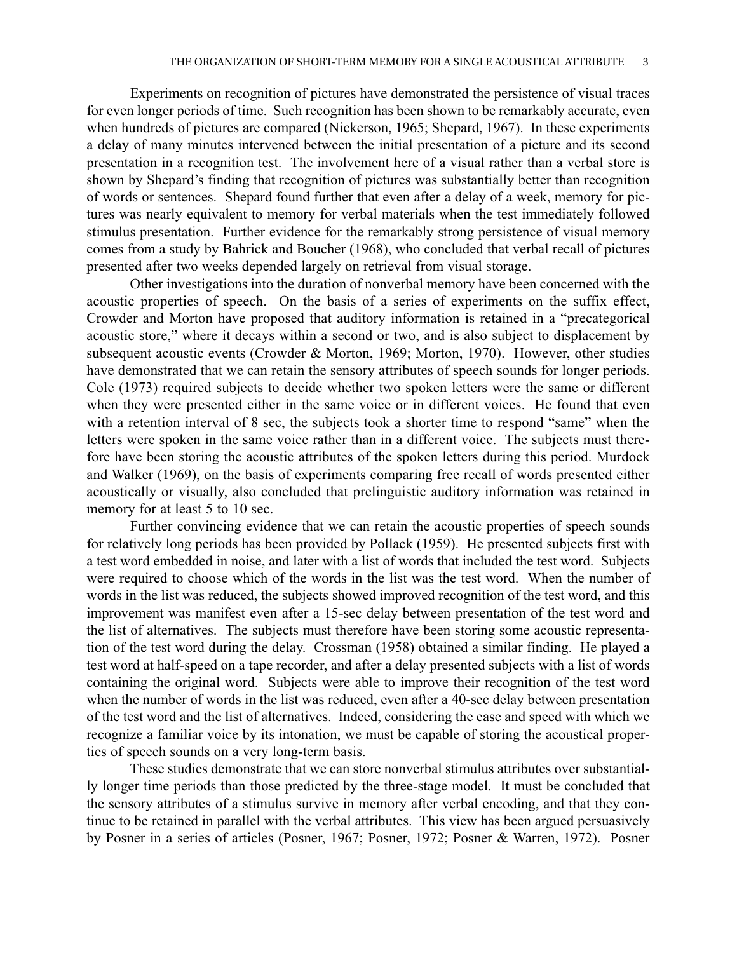Experiments on recognition of pictures have demonstrated the persistence of visual traces for even longer periods of time. Such recognition has been shown to be remarkably accurate, even when hundreds of pictures are compared (Nickerson, 1965; Shepard, 1967). In these experiments a delay of many minutes intervened between the initial presentation of a picture and its second presentation in a recognition test. The involvement here of a visual rather than a verbal store is shown by Shepard's finding that recognition of pictures was substantially better than recognition of words or sentences. Shepard found further that even after a delay of a week, memory for pictures was nearly equivalent to memory for verbal materials when the test immediately followed stimulus presentation. Further evidence for the remarkably strong persistence of visual memory comes from a study by Bahrick and Boucher (1968), who concluded that verbal recall of pictures presented after two weeks depended largely on retrieval from visual storage.

Other investigations into the duration of nonverbal memory have been concerned with the acoustic properties of speech. On the basis of a series of experiments on the suffix effect, Crowder and Morton have proposed that auditory information is retained in a "precategorical acoustic store," where it decays within a second or two, and is also subject to displacement by subsequent acoustic events (Crowder & Morton, 1969; Morton, 1970). However, other studies have demonstrated that we can retain the sensory attributes of speech sounds for longer periods. Cole (1973) required subjects to decide whether two spoken letters were the same or different when they were presented either in the same voice or in different voices. He found that even with a retention interval of 8 sec, the subjects took a shorter time to respond "same" when the letters were spoken in the same voice rather than in a different voice. The subjects must therefore have been storing the acoustic attributes of the spoken letters during this period. Murdock and Walker (1969), on the basis of experiments comparing free recall of words presented either acoustically or visually, also concluded that prelinguistic auditory information was retained in memory for at least 5 to 10 sec.

Further convincing evidence that we can retain the acoustic properties of speech sounds for relatively long periods has been provided by Pollack (1959). He presented subjects first with a test word embedded in noise, and later with a list of words that included the test word. Subjects were required to choose which of the words in the list was the test word. When the number of words in the list was reduced, the subjects showed improved recognition of the test word, and this improvement was manifest even after a 15-sec delay between presentation of the test word and the list of alternatives. The subjects must therefore have been storing some acoustic representation of the test word during the delay. Crossman (1958) obtained a similar finding. He played a test word at half-speed on a tape recorder, and after a delay presented subjects with a list of words containing the original word. Subjects were able to improve their recognition of the test word when the number of words in the list was reduced, even after a 40-sec delay between presentation of the test word and the list of alternatives. Indeed, considering the ease and speed with which we recognize a familiar voice by its intonation, we must be capable of storing the acoustical properties of speech sounds on a very long-term basis.

These studies demonstrate that we can store nonverbal stimulus attributes over substantially longer time periods than those predicted by the three-stage model. It must be concluded that the sensory attributes of a stimulus survive in memory after verbal encoding, and that they continue to be retained in parallel with the verbal attributes. This view has been argued persuasively by Posner in a series of articles (Posner, 1967; Posner, 1972; Posner & Warren, 1972). Posner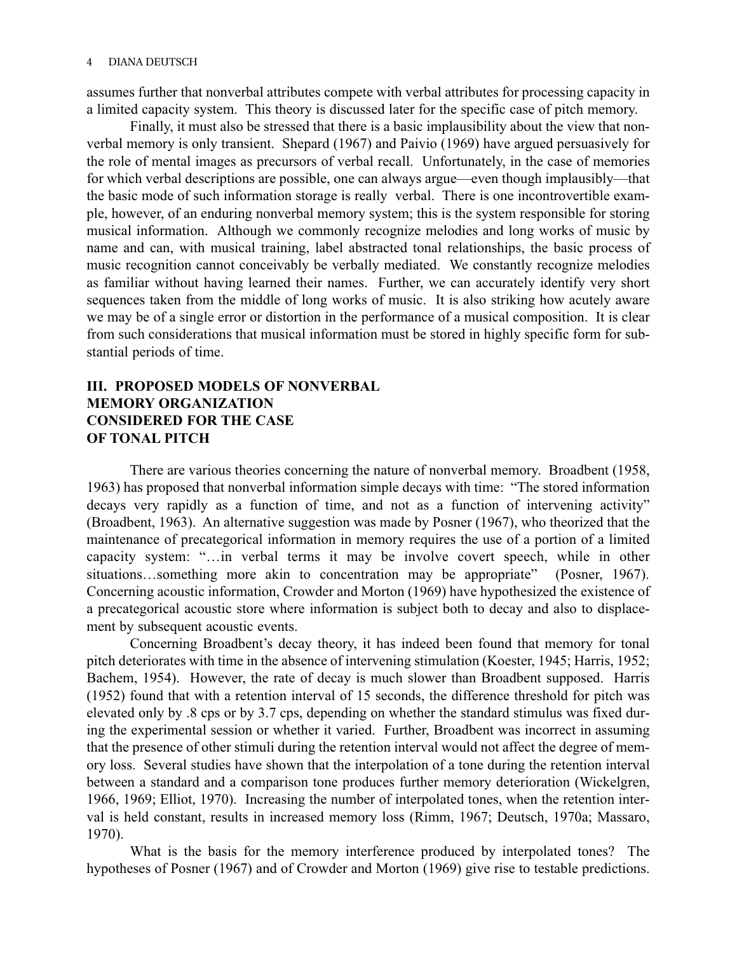assumes further that nonverbal attributes compete with verbal attributes for processing capacity in a limited capacity system. This theory is discussed later for the specific case of pitch memory.

Finally, it must also be stressed that there is a basic implausibility about the view that nonverbal memory is only transient. Shepard (1967) and Paivio (1969) have argued persuasively for the role of mental images as precursors of verbal recall. Unfortunately, in the case of memories for which verbal descriptions are possible, one can always argue—even though implausibly—that the basic mode of such information storage is really verbal. There is one incontrovertible example, however, of an enduring nonverbal memory system; this is the system responsible for storing musical information. Although we commonly recognize melodies and long works of music by name and can, with musical training, label abstracted tonal relationships, the basic process of music recognition cannot conceivably be verbally mediated. We constantly recognize melodies as familiar without having learned their names. Further, we can accurately identify very short sequences taken from the middle of long works of music. It is also striking how acutely aware we may be of a single error or distortion in the performance of a musical composition. It is clear from such considerations that musical information must be stored in highly specific form for substantial periods of time.

# III. PROPOSED MODELS OF NONVERBAL MEMORY ORGANIZATION CONSIDERED FOR THE CASE OF TONAL PITCH

There are various theories concerning the nature of nonverbal memory. Broadbent (1958, 1963) has proposed that nonverbal information simple decays with time: "The stored information decays very rapidly as a function of time, and not as a function of intervening activity" (Broadbent, 1963). An alternative suggestion was made by Posner (1967), who theorized that the maintenance of precategorical information in memory requires the use of a portion of a limited capacity system: "…in verbal terms it may be involve covert speech, while in other situations...something more akin to concentration may be appropriate" (Posner, 1967). Concerning acoustic information, Crowder and Morton (1969) have hypothesized the existence of a precategorical acoustic store where information is subject both to decay and also to displacement by subsequent acoustic events.

Concerning Broadbent's decay theory, it has indeed been found that memory for tonal pitch deteriorates with time in the absence of intervening stimulation (Koester, 1945; Harris, 1952; Bachem, 1954). However, the rate of decay is much slower than Broadbent supposed. Harris (1952) found that with a retention interval of 15 seconds, the difference threshold for pitch was elevated only by .8 cps or by 3.7 cps, depending on whether the standard stimulus was fixed during the experimental session or whether it varied. Further, Broadbent was incorrect in assuming that the presence of other stimuli during the retention interval would not affect the degree of memory loss. Several studies have shown that the interpolation of a tone during the retention interval between a standard and a comparison tone produces further memory deterioration (Wickelgren, 1966, 1969; Elliot, 1970). Increasing the number of interpolated tones, when the retention interval is held constant, results in increased memory loss (Rimm, 1967; Deutsch, 1970a; Massaro, 1970).

What is the basis for the memory interference produced by interpolated tones? The hypotheses of Posner (1967) and of Crowder and Morton (1969) give rise to testable predictions.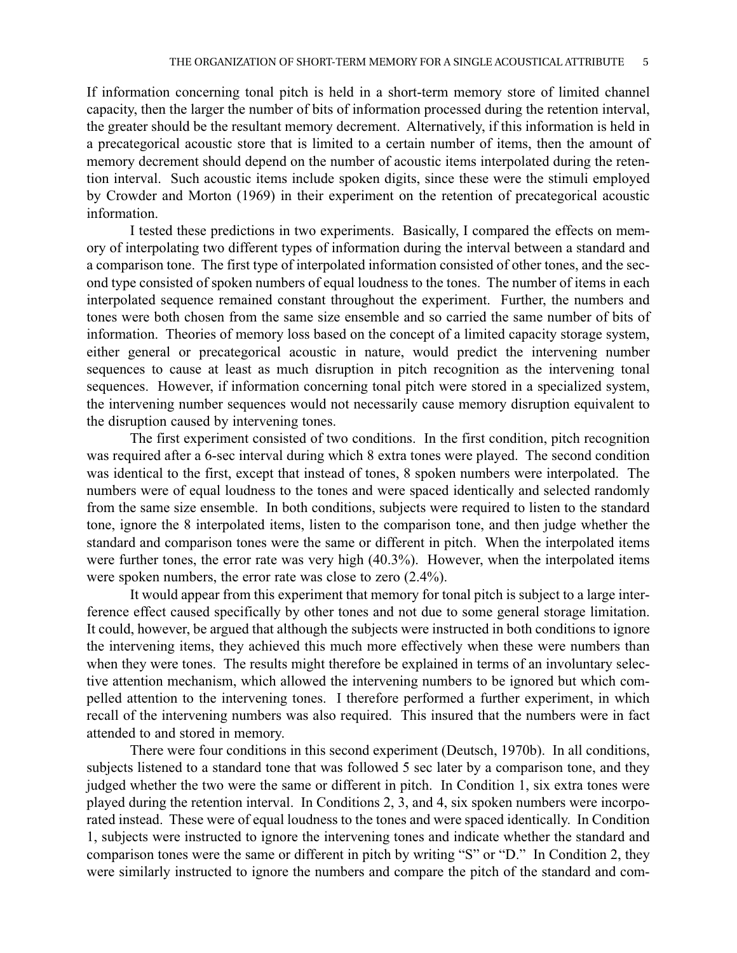If information concerning tonal pitch is held in a short-term memory store of limited channel capacity, then the larger the number of bits of information processed during the retention interval, the greater should be the resultant memory decrement. Alternatively, if this information is held in a precategorical acoustic store that is limited to a certain number of items, then the amount of memory decrement should depend on the number of acoustic items interpolated during the retention interval. Such acoustic items include spoken digits, since these were the stimuli employed by Crowder and Morton (1969) in their experiment on the retention of precategorical acoustic information.

I tested these predictions in two experiments. Basically, I compared the effects on memory of interpolating two different types of information during the interval between a standard and a comparison tone. The first type of interpolated information consisted of other tones, and the second type consisted of spoken numbers of equal loudness to the tones. The number of items in each interpolated sequence remained constant throughout the experiment. Further, the numbers and tones were both chosen from the same size ensemble and so carried the same number of bits of information. Theories of memory loss based on the concept of a limited capacity storage system, either general or precategorical acoustic in nature, would predict the intervening number sequences to cause at least as much disruption in pitch recognition as the intervening tonal sequences. However, if information concerning tonal pitch were stored in a specialized system, the intervening number sequences would not necessarily cause memory disruption equivalent to the disruption caused by intervening tones.

The first experiment consisted of two conditions. In the first condition, pitch recognition was required after a 6-sec interval during which 8 extra tones were played. The second condition was identical to the first, except that instead of tones, 8 spoken numbers were interpolated. The numbers were of equal loudness to the tones and were spaced identically and selected randomly from the same size ensemble. In both conditions, subjects were required to listen to the standard tone, ignore the 8 interpolated items, listen to the comparison tone, and then judge whether the standard and comparison tones were the same or different in pitch. When the interpolated items were further tones, the error rate was very high (40.3%). However, when the interpolated items were spoken numbers, the error rate was close to zero (2.4%).

It would appear from this experiment that memory for tonal pitch is subject to a large interference effect caused specifically by other tones and not due to some general storage limitation. It could, however, be argued that although the subjects were instructed in both conditions to ignore the intervening items, they achieved this much more effectively when these were numbers than when they were tones. The results might therefore be explained in terms of an involuntary selective attention mechanism, which allowed the intervening numbers to be ignored but which compelled attention to the intervening tones. I therefore performed a further experiment, in which recall of the intervening numbers was also required. This insured that the numbers were in fact attended to and stored in memory.

There were four conditions in this second experiment (Deutsch, 1970b). In all conditions, subjects listened to a standard tone that was followed 5 sec later by a comparison tone, and they judged whether the two were the same or different in pitch. In Condition 1, six extra tones were played during the retention interval. In Conditions 2, 3, and 4, six spoken numbers were incorporated instead. These were of equal loudness to the tones and were spaced identically. In Condition 1, subjects were instructed to ignore the intervening tones and indicate whether the standard and comparison tones were the same or different in pitch by writing "S" or "D." In Condition 2, they were similarly instructed to ignore the numbers and compare the pitch of the standard and com-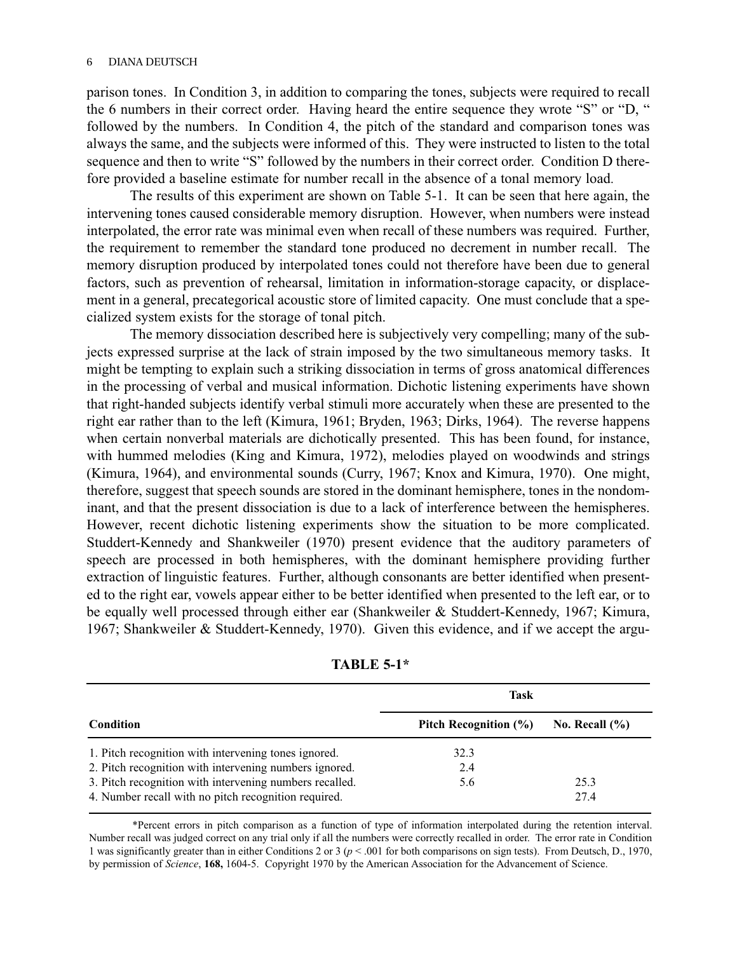parison tones. In Condition 3, in addition to comparing the tones, subjects were required to recall the 6 numbers in their correct order. Having heard the entire sequence they wrote "S" or "D, " followed by the numbers. In Condition 4, the pitch of the standard and comparison tones was always the same, and the subjects were informed of this. They were instructed to listen to the total sequence and then to write "S" followed by the numbers in their correct order. Condition D therefore provided a baseline estimate for number recall in the absence of a tonal memory load.

The results of this experiment are shown on Table 5-1. It can be seen that here again, the intervening tones caused considerable memory disruption. However, when numbers were instead interpolated, the error rate was minimal even when recall of these numbers was required. Further, the requirement to remember the standard tone produced no decrement in number recall. The memory disruption produced by interpolated tones could not therefore have been due to general factors, such as prevention of rehearsal, limitation in information-storage capacity, or displacement in a general, precategorical acoustic store of limited capacity. One must conclude that a specialized system exists for the storage of tonal pitch.

The memory dissociation described here is subjectively very compelling; many of the subjects expressed surprise at the lack of strain imposed by the two simultaneous memory tasks. It might be tempting to explain such a striking dissociation in terms of gross anatomical differences in the processing of verbal and musical information. Dichotic listening experiments have shown that right-handed subjects identify verbal stimuli more accurately when these are presented to the right ear rather than to the left (Kimura, 1961; Bryden, 1963; Dirks, 1964). The reverse happens when certain nonverbal materials are dichotically presented. This has been found, for instance, with hummed melodies (King and Kimura, 1972), melodies played on woodwinds and strings (Kimura, 1964), and environmental sounds (Curry, 1967; Knox and Kimura, 1970). One might, therefore, suggest that speech sounds are stored in the dominant hemisphere, tones in the nondominant, and that the present dissociation is due to a lack of interference between the hemispheres. However, recent dichotic listening experiments show the situation to be more complicated. Studdert-Kennedy and Shankweiler (1970) present evidence that the auditory parameters of speech are processed in both hemispheres, with the dominant hemisphere providing further extraction of linguistic features. Further, although consonants are better identified when presented to the right ear, vowels appear either to be better identified when presented to the left ear, or to be equally well processed through either ear (Shankweiler & Studdert-Kennedy, 1967; Kimura, 1967; Shankweiler & Studdert-Kennedy, 1970). Given this evidence, and if we accept the argu-

|                                                                                                                 | <b>Task</b>              |                          |  |
|-----------------------------------------------------------------------------------------------------------------|--------------------------|--------------------------|--|
| <b>Condition</b>                                                                                                | Pitch Recognition $(\%)$ | <b>No. Recall</b> $(\%)$ |  |
| 1. Pitch recognition with intervening tones ignored.<br>2. Pitch recognition with intervening numbers ignored.  | 32.3<br>2.4              |                          |  |
| 3. Pitch recognition with intervening numbers recalled.<br>4. Number recall with no pitch recognition required. | 5.6                      | 25.3<br>27.4             |  |

TABLE 5-1\*

\*Percent errors in pitch comparison as a function of type of information interpolated during the retention interval. Number recall was judged correct on any trial only if all the numbers were correctly recalled in order. The error rate in Condition 1 was significantly greater than in either Conditions 2 or 3 ( $p < .001$  for both comparisons on sign tests). From Deutsch, D., 1970, by permission of Science, 168**,** 1604-5. Copyright 1970 by the American Association for the Advancement of Science.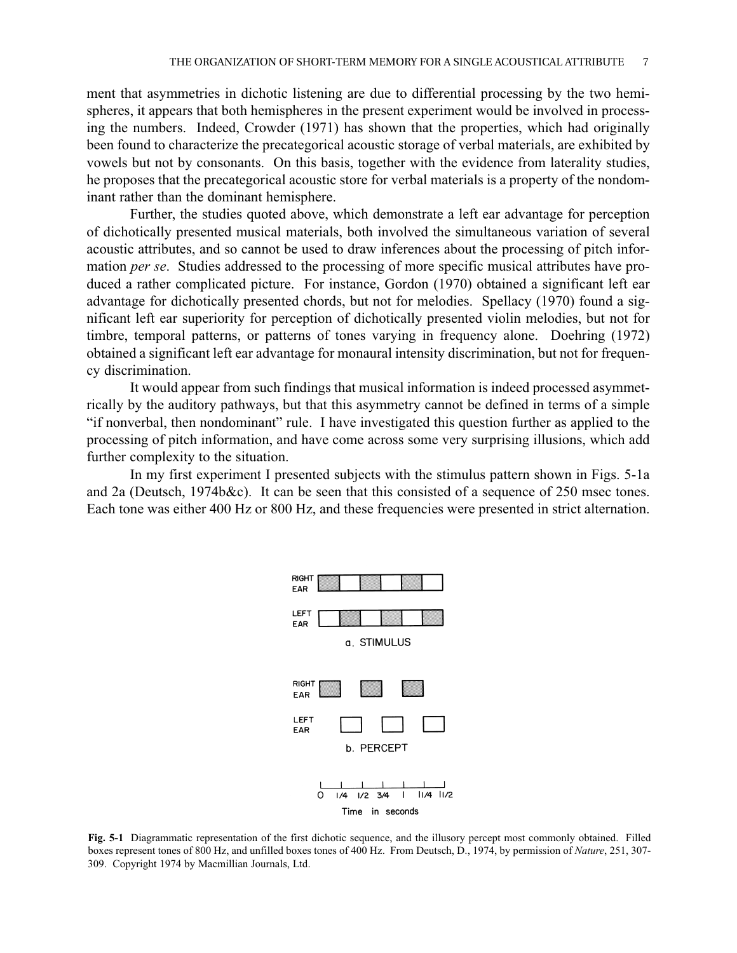ment that asymmetries in dichotic listening are due to differential processing by the two hemispheres, it appears that both hemispheres in the present experiment would be involved in processing the numbers. Indeed, Crowder (1971) has shown that the properties, which had originally been found to characterize the precategorical acoustic storage of verbal materials, are exhibited by vowels but not by consonants. On this basis, together with the evidence from laterality studies, he proposes that the precategorical acoustic store for verbal materials is a property of the nondominant rather than the dominant hemisphere.

Further, the studies quoted above, which demonstrate a left ear advantage for perception of dichotically presented musical materials, both involved the simultaneous variation of several acoustic attributes, and so cannot be used to draw inferences about the processing of pitch information per se. Studies addressed to the processing of more specific musical attributes have produced a rather complicated picture. For instance, Gordon (1970) obtained a significant left ear advantage for dichotically presented chords, but not for melodies. Spellacy (1970) found a significant left ear superiority for perception of dichotically presented violin melodies, but not for timbre, temporal patterns, or patterns of tones varying in frequency alone. Doehring (1972) obtained a significant left ear advantage for monaural intensity discrimination, but not for frequency discrimination.

It would appear from such findings that musical information is indeed processed asymmetrically by the auditory pathways, but that this asymmetry cannot be defined in terms of a simple "if nonverbal, then nondominant" rule. I have investigated this question further as applied to the processing of pitch information, and have come across some very surprising illusions, which add further complexity to the situation.

In my first experiment I presented subjects with the stimulus pattern shown in Figs. 5-1a and 2a (Deutsch, 1974b&c). It can be seen that this consisted of a sequence of 250 msec tones. Each tone was either 400 Hz or 800 Hz, and these frequencies were presented in strict alternation.



Fig. 5-1 Diagrammatic representation of the first dichotic sequence, and the illusory percept most commonly obtained. Filled boxes represent tones of 800 Hz, and unfilled boxes tones of 400 Hz. From Deutsch, D., 1974, by permission of Nature, 251, 307- 309. Copyright 1974 by Macmillian Journals, Ltd.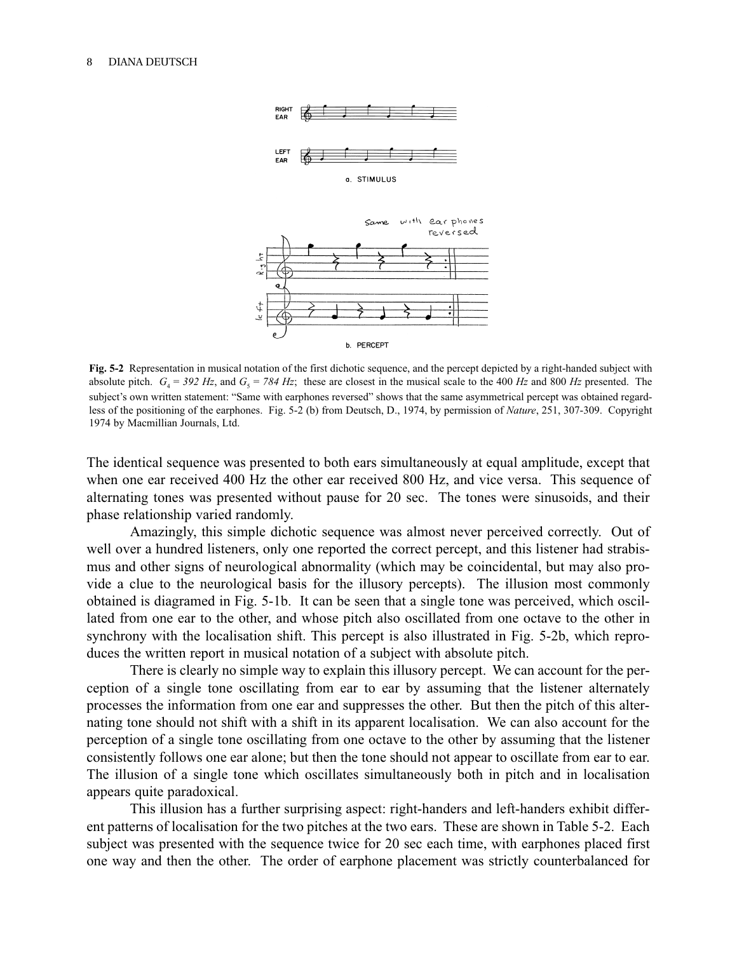



Fig. 5-2 Representation in musical notation of the first dichotic sequence, and the percept depicted by a right-handed subject with absolute pitch.  $G_4 = 392$  Hz, and  $G_5 = 784$  Hz; these are closest in the musical scale to the 400 Hz and 800 Hz presented. The subject's own written statement: "Same with earphones reversed" shows that the same asymmetrical percept was obtained regardless of the positioning of the earphones. Fig. 5-2 (b) from Deutsch, D., 1974, by permission of Nature, 251, 307-309. Copyright 1974 by Macmillian Journals, Ltd.

The identical sequence was presented to both ears simultaneously at equal amplitude, except that when one ear received 400 Hz the other ear received 800 Hz, and vice versa. This sequence of alternating tones was presented without pause for 20 sec. The tones were sinusoids, and their phase relationship varied randomly.

Amazingly, this simple dichotic sequence was almost never perceived correctly. Out of well over a hundred listeners, only one reported the correct percept, and this listener had strabismus and other signs of neurological abnormality (which may be coincidental, but may also provide a clue to the neurological basis for the illusory percepts). The illusion most commonly obtained is diagramed in Fig. 5-1b. It can be seen that a single tone was perceived, which oscillated from one ear to the other, and whose pitch also oscillated from one octave to the other in synchrony with the localisation shift. This percept is also illustrated in Fig. 5-2b, which reproduces the written report in musical notation of a subject with absolute pitch.

There is clearly no simple way to explain this illusory percept. We can account for the perception of a single tone oscillating from ear to ear by assuming that the listener alternately processes the information from one ear and suppresses the other. But then the pitch of this alternating tone should not shift with a shift in its apparent localisation. We can also account for the perception of a single tone oscillating from one octave to the other by assuming that the listener consistently follows one ear alone; but then the tone should not appear to oscillate from ear to ear. The illusion of a single tone which oscillates simultaneously both in pitch and in localisation appears quite paradoxical.

This illusion has a further surprising aspect: right-handers and left-handers exhibit different patterns of localisation for the two pitches at the two ears. These are shown in Table 5-2. Each subject was presented with the sequence twice for 20 sec each time, with earphones placed first one way and then the other. The order of earphone placement was strictly counterbalanced for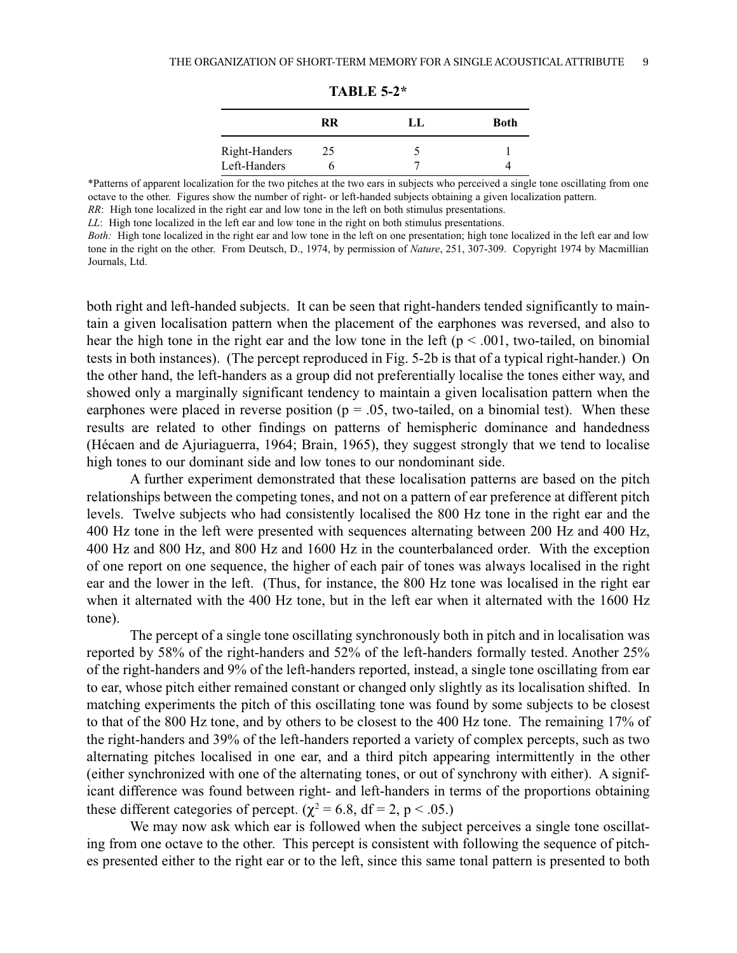| 11WUD J-8     |           |     |             |
|---------------|-----------|-----|-------------|
|               | <b>RR</b> | LL. | <b>Both</b> |
| Right-Handers | 25        |     |             |
| Left-Handers  |           |     |             |

TARI E 5.2\*

\*Patterns of apparent localization for the two pitches at the two ears in subjects who perceived a single tone oscillating from one octave to the other. Figures show the number of right- or left-handed subjects obtaining a given localization pattern. RR: High tone localized in the right ear and low tone in the left on both stimulus presentations.

LL: High tone localized in the left ear and low tone in the right on both stimulus presentations.

Both: High tone localized in the right ear and low tone in the left on one presentation; high tone localized in the left ear and low tone in the right on the other. From Deutsch, D., 1974, by permission of Nature, 251, 307-309. Copyright 1974 by Macmillian Journals, Ltd.

both right and left-handed subjects. It can be seen that right-handers tended significantly to maintain a given localisation pattern when the placement of the earphones was reversed, and also to hear the high tone in the right ear and the low tone in the left ( $p < .001$ , two-tailed, on binomial tests in both instances). (The percept reproduced in Fig. 5-2b is that of a typical right-hander.) On the other hand, the left-handers as a group did not preferentially localise the tones either way, and showed only a marginally significant tendency to maintain a given localisation pattern when the earphones were placed in reverse position ( $p = 0.05$ , two-tailed, on a binomial test). When these results are related to other findings on patterns of hemispheric dominance and handedness (Hécaen and de Ajuriaguerra, 1964; Brain, 1965), they suggest strongly that we tend to localise high tones to our dominant side and low tones to our nondominant side.

A further experiment demonstrated that these localisation patterns are based on the pitch relationships between the competing tones, and not on a pattern of ear preference at different pitch levels. Twelve subjects who had consistently localised the 800 Hz tone in the right ear and the 400 Hz tone in the left were presented with sequences alternating between 200 Hz and 400 Hz, 400 Hz and 800 Hz, and 800 Hz and 1600 Hz in the counterbalanced order. With the exception of one report on one sequence, the higher of each pair of tones was always localised in the right ear and the lower in the left. (Thus, for instance, the 800 Hz tone was localised in the right ear when it alternated with the 400 Hz tone, but in the left ear when it alternated with the 1600 Hz tone).

The percept of a single tone oscillating synchronously both in pitch and in localisation was reported by 58% of the right-handers and 52% of the left-handers formally tested. Another 25% of the right-handers and 9% of the left-handers reported, instead, a single tone oscillating from ear to ear, whose pitch either remained constant or changed only slightly as its localisation shifted. In matching experiments the pitch of this oscillating tone was found by some subjects to be closest to that of the 800 Hz tone, and by others to be closest to the 400 Hz tone. The remaining 17% of the right-handers and 39% of the left-handers reported a variety of complex percepts, such as two alternating pitches localised in one ear, and a third pitch appearing intermittently in the other (either synchronized with one of the alternating tones, or out of synchrony with either). A significant difference was found between right- and left-handers in terms of the proportions obtaining these different categories of percept. ( $\chi^2$  = 6.8, df = 2, p < .05.)

We may now ask which ear is followed when the subject perceives a single tone oscillating from one octave to the other. This percept is consistent with following the sequence of pitches presented either to the right ear or to the left, since this same tonal pattern is presented to both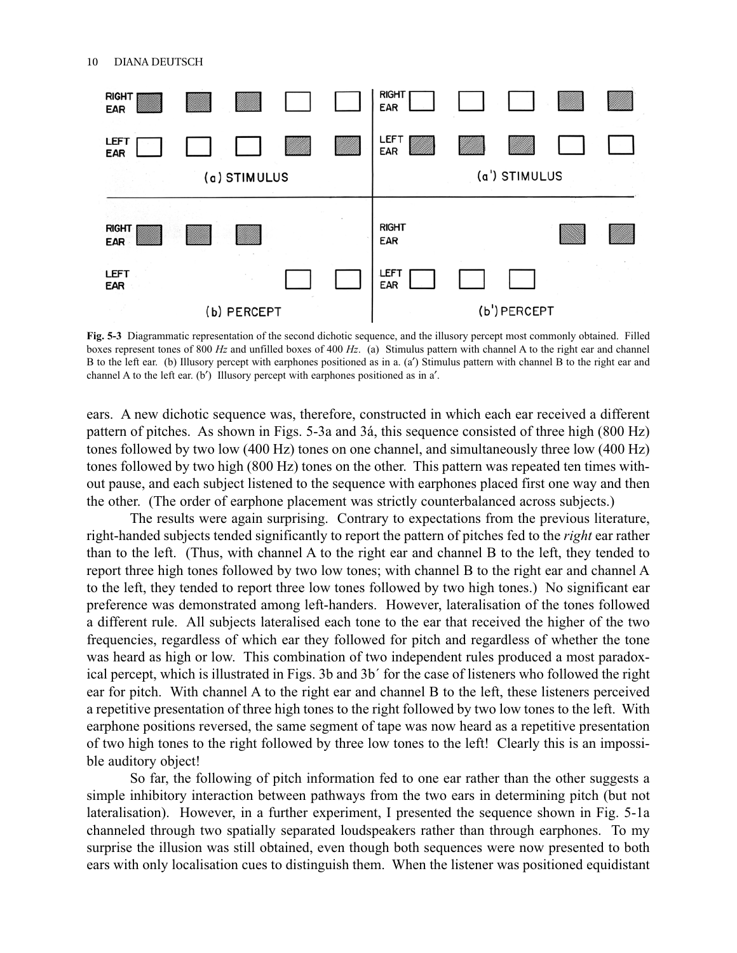

Fig. 5-3 Diagrammatic representation of the second dichotic sequence, and the illusory percept most commonly obtained. Filled boxes represent tones of 800 Hz and unfilled boxes of 400 Hz. (a) Stimulus pattern with channel A to the right ear and channel B to the left ear. (b) Illusory percept with earphones positioned as in a. (a′) Stimulus pattern with channel B to the right ear and channel A to the left ear. (b′) Illusory percept with earphones positioned as in a′.

ears. A new dichotic sequence was, therefore, constructed in which each ear received a different pattern of pitches. As shown in Figs. 5-3a and 3á, this sequence consisted of three high (800 Hz) tones followed by two low (400 Hz) tones on one channel, and simultaneously three low (400 Hz) tones followed by two high (800 Hz) tones on the other. This pattern was repeated ten times without pause, and each subject listened to the sequence with earphones placed first one way and then the other. (The order of earphone placement was strictly counterbalanced across subjects.)

The results were again surprising. Contrary to expectations from the previous literature, right-handed subjects tended significantly to report the pattern of pitches fed to the right ear rather than to the left. (Thus, with channel A to the right ear and channel B to the left, they tended to report three high tones followed by two low tones; with channel B to the right ear and channel A to the left, they tended to report three low tones followed by two high tones.) No significant ear preference was demonstrated among left-handers. However, lateralisation of the tones followed a different rule. All subjects lateralised each tone to the ear that received the higher of the two frequencies, regardless of which ear they followed for pitch and regardless of whether the tone was heard as high or low. This combination of two independent rules produced a most paradoxical percept, which is illustrated in Figs. 3b and 3b´ for the case of listeners who followed the right ear for pitch. With channel A to the right ear and channel B to the left, these listeners perceived a repetitive presentation of three high tones to the right followed by two low tones to the left. With earphone positions reversed, the same segment of tape was now heard as a repetitive presentation of two high tones to the right followed by three low tones to the left! Clearly this is an impossible auditory object!

So far, the following of pitch information fed to one ear rather than the other suggests a simple inhibitory interaction between pathways from the two ears in determining pitch (but not lateralisation). However, in a further experiment, I presented the sequence shown in Fig. 5-1a channeled through two spatially separated loudspeakers rather than through earphones. To my surprise the illusion was still obtained, even though both sequences were now presented to both ears with only localisation cues to distinguish them. When the listener was positioned equidistant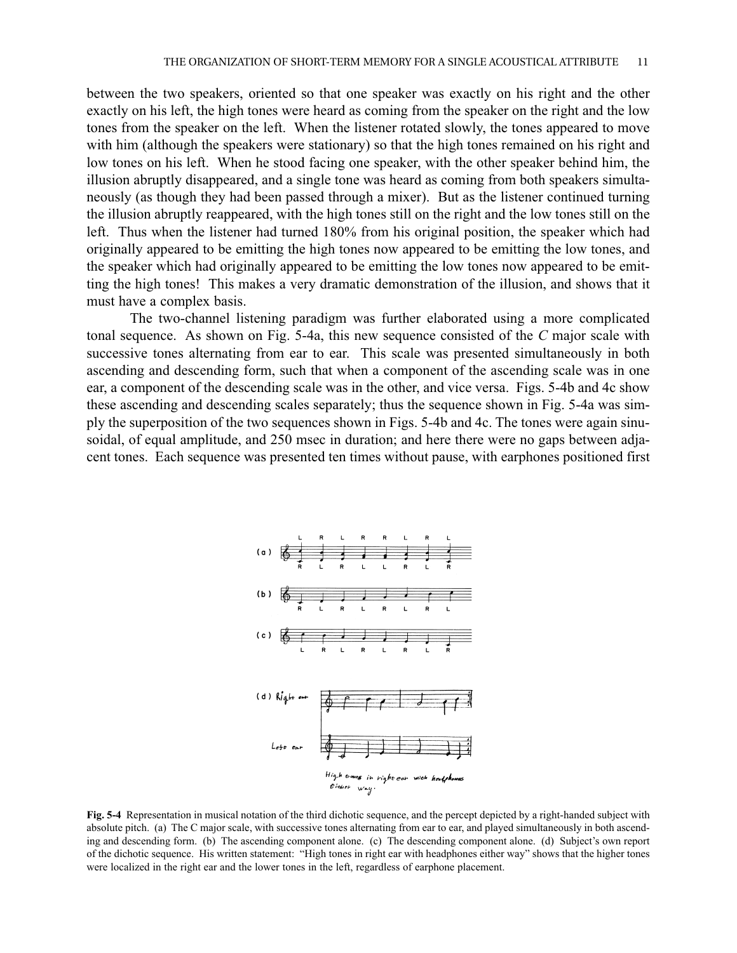between the two speakers, oriented so that one speaker was exactly on his right and the other exactly on his left, the high tones were heard as coming from the speaker on the right and the low tones from the speaker on the left. When the listener rotated slowly, the tones appeared to move with him (although the speakers were stationary) so that the high tones remained on his right and low tones on his left. When he stood facing one speaker, with the other speaker behind him, the illusion abruptly disappeared, and a single tone was heard as coming from both speakers simultaneously (as though they had been passed through a mixer). But as the listener continued turning the illusion abruptly reappeared, with the high tones still on the right and the low tones still on the left. Thus when the listener had turned 180% from his original position, the speaker which had originally appeared to be emitting the high tones now appeared to be emitting the low tones, and the speaker which had originally appeared to be emitting the low tones now appeared to be emitting the high tones! This makes a very dramatic demonstration of the illusion, and shows that it must have a complex basis.

The two-channel listening paradigm was further elaborated using a more complicated tonal sequence. As shown on Fig. 5-4a, this new sequence consisted of the C major scale with successive tones alternating from ear to ear. This scale was presented simultaneously in both ascending and descending form, such that when a component of the ascending scale was in one ear, a component of the descending scale was in the other, and vice versa. Figs. 5-4b and 4c show these ascending and descending scales separately; thus the sequence shown in Fig. 5-4a was simply the superposition of the two sequences shown in Figs. 5-4b and 4c. The tones were again sinusoidal, of equal amplitude, and 250 msec in duration; and here there were no gaps between adjacent tones. Each sequence was presented ten times without pause, with earphones positioned first



Fig. 5-4 Representation in musical notation of the third dichotic sequence, and the percept depicted by a right-handed subject with absolute pitch. (a) The C major scale, with successive tones alternating from ear to ear, and played simultaneously in both ascending and descending form. (b) The ascending component alone. (c) The descending component alone. (d) Subject's own report of the dichotic sequence. His written statement: "High tones in right ear with headphones either way" shows that the higher tones were localized in the right ear and the lower tones in the left, regardless of earphone placement.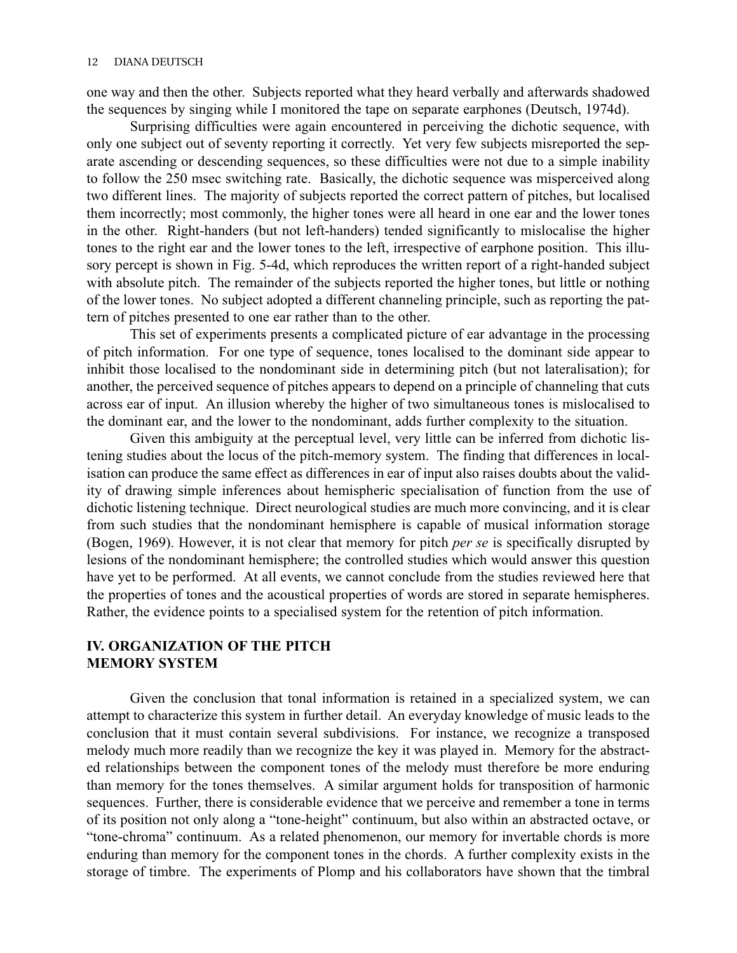one way and then the other. Subjects reported what they heard verbally and afterwards shadowed the sequences by singing while I monitored the tape on separate earphones (Deutsch, 1974d).

Surprising difficulties were again encountered in perceiving the dichotic sequence, with only one subject out of seventy reporting it correctly. Yet very few subjects misreported the separate ascending or descending sequences, so these difficulties were not due to a simple inability to follow the 250 msec switching rate. Basically, the dichotic sequence was misperceived along two different lines. The majority of subjects reported the correct pattern of pitches, but localised them incorrectly; most commonly, the higher tones were all heard in one ear and the lower tones in the other. Right-handers (but not left-handers) tended significantly to mislocalise the higher tones to the right ear and the lower tones to the left, irrespective of earphone position. This illusory percept is shown in Fig. 5-4d, which reproduces the written report of a right-handed subject with absolute pitch. The remainder of the subjects reported the higher tones, but little or nothing of the lower tones. No subject adopted a different channeling principle, such as reporting the pattern of pitches presented to one ear rather than to the other.

This set of experiments presents a complicated picture of ear advantage in the processing of pitch information. For one type of sequence, tones localised to the dominant side appear to inhibit those localised to the nondominant side in determining pitch (but not lateralisation); for another, the perceived sequence of pitches appears to depend on a principle of channeling that cuts across ear of input. An illusion whereby the higher of two simultaneous tones is mislocalised to the dominant ear, and the lower to the nondominant, adds further complexity to the situation.

Given this ambiguity at the perceptual level, very little can be inferred from dichotic listening studies about the locus of the pitch-memory system. The finding that differences in localisation can produce the same effect as differences in ear of input also raises doubts about the validity of drawing simple inferences about hemispheric specialisation of function from the use of dichotic listening technique. Direct neurological studies are much more convincing, and it is clear from such studies that the nondominant hemisphere is capable of musical information storage (Bogen, 1969). However, it is not clear that memory for pitch per se is specifically disrupted by lesions of the nondominant hemisphere; the controlled studies which would answer this question have yet to be performed. At all events, we cannot conclude from the studies reviewed here that the properties of tones and the acoustical properties of words are stored in separate hemispheres. Rather, the evidence points to a specialised system for the retention of pitch information.

# IV. ORGANIZATION OF THE PITCH MEMORY SYSTEM

Given the conclusion that tonal information is retained in a specialized system, we can attempt to characterize this system in further detail. An everyday knowledge of music leads to the conclusion that it must contain several subdivisions. For instance, we recognize a transposed melody much more readily than we recognize the key it was played in. Memory for the abstracted relationships between the component tones of the melody must therefore be more enduring than memory for the tones themselves. A similar argument holds for transposition of harmonic sequences. Further, there is considerable evidence that we perceive and remember a tone in terms of its position not only along a "tone-height" continuum, but also within an abstracted octave, or "tone-chroma" continuum. As a related phenomenon, our memory for invertable chords is more enduring than memory for the component tones in the chords. A further complexity exists in the storage of timbre. The experiments of Plomp and his collaborators have shown that the timbral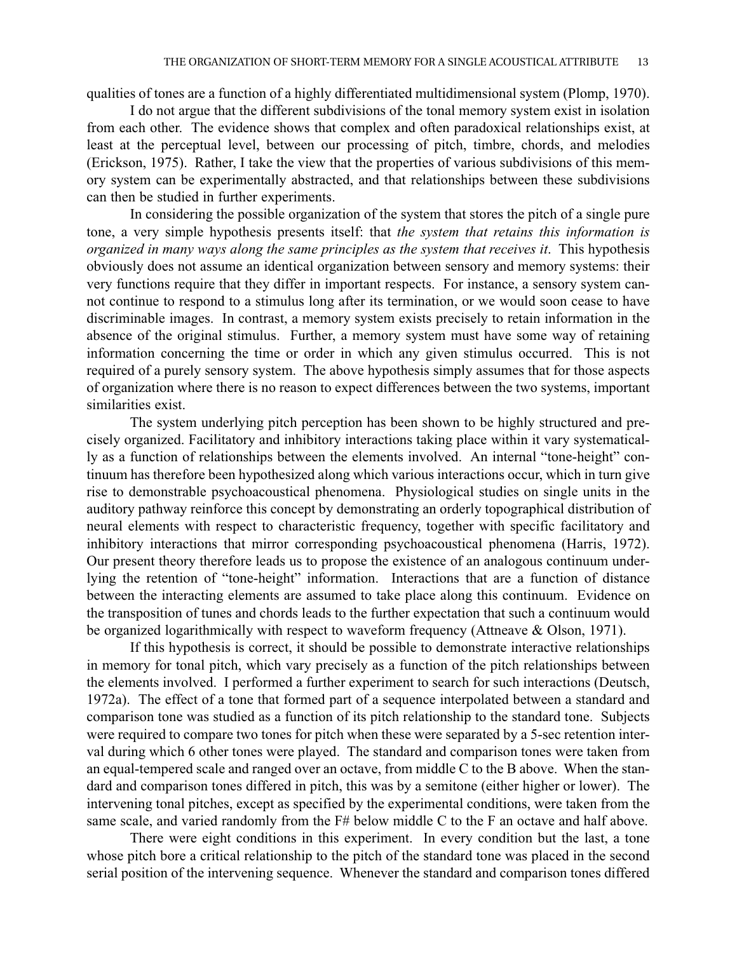qualities of tones are a function of a highly differentiated multidimensional system (Plomp, 1970).

I do not argue that the different subdivisions of the tonal memory system exist in isolation from each other. The evidence shows that complex and often paradoxical relationships exist, at least at the perceptual level, between our processing of pitch, timbre, chords, and melodies (Erickson, 1975). Rather, I take the view that the properties of various subdivisions of this memory system can be experimentally abstracted, and that relationships between these subdivisions can then be studied in further experiments.

In considering the possible organization of the system that stores the pitch of a single pure tone, a very simple hypothesis presents itself: that the system that retains this information is organized in many ways along the same principles as the system that receives it. This hypothesis obviously does not assume an identical organization between sensory and memory systems: their very functions require that they differ in important respects. For instance, a sensory system cannot continue to respond to a stimulus long after its termination, or we would soon cease to have discriminable images. In contrast, a memory system exists precisely to retain information in the absence of the original stimulus. Further, a memory system must have some way of retaining information concerning the time or order in which any given stimulus occurred. This is not required of a purely sensory system. The above hypothesis simply assumes that for those aspects of organization where there is no reason to expect differences between the two systems, important similarities exist.

The system underlying pitch perception has been shown to be highly structured and precisely organized. Facilitatory and inhibitory interactions taking place within it vary systematically as a function of relationships between the elements involved. An internal "tone-height" continuum has therefore been hypothesized along which various interactions occur, which in turn give rise to demonstrable psychoacoustical phenomena. Physiological studies on single units in the auditory pathway reinforce this concept by demonstrating an orderly topographical distribution of neural elements with respect to characteristic frequency, together with specific facilitatory and inhibitory interactions that mirror corresponding psychoacoustical phenomena (Harris, 1972). Our present theory therefore leads us to propose the existence of an analogous continuum underlying the retention of "tone-height" information. Interactions that are a function of distance between the interacting elements are assumed to take place along this continuum. Evidence on the transposition of tunes and chords leads to the further expectation that such a continuum would be organized logarithmically with respect to waveform frequency (Attneave & Olson, 1971).

If this hypothesis is correct, it should be possible to demonstrate interactive relationships in memory for tonal pitch, which vary precisely as a function of the pitch relationships between the elements involved. I performed a further experiment to search for such interactions (Deutsch, 1972a). The effect of a tone that formed part of a sequence interpolated between a standard and comparison tone was studied as a function of its pitch relationship to the standard tone. Subjects were required to compare two tones for pitch when these were separated by a 5-sec retention interval during which 6 other tones were played. The standard and comparison tones were taken from an equal-tempered scale and ranged over an octave, from middle C to the B above. When the standard and comparison tones differed in pitch, this was by a semitone (either higher or lower). The intervening tonal pitches, except as specified by the experimental conditions, were taken from the same scale, and varied randomly from the F# below middle C to the F an octave and half above.

There were eight conditions in this experiment. In every condition but the last, a tone whose pitch bore a critical relationship to the pitch of the standard tone was placed in the second serial position of the intervening sequence. Whenever the standard and comparison tones differed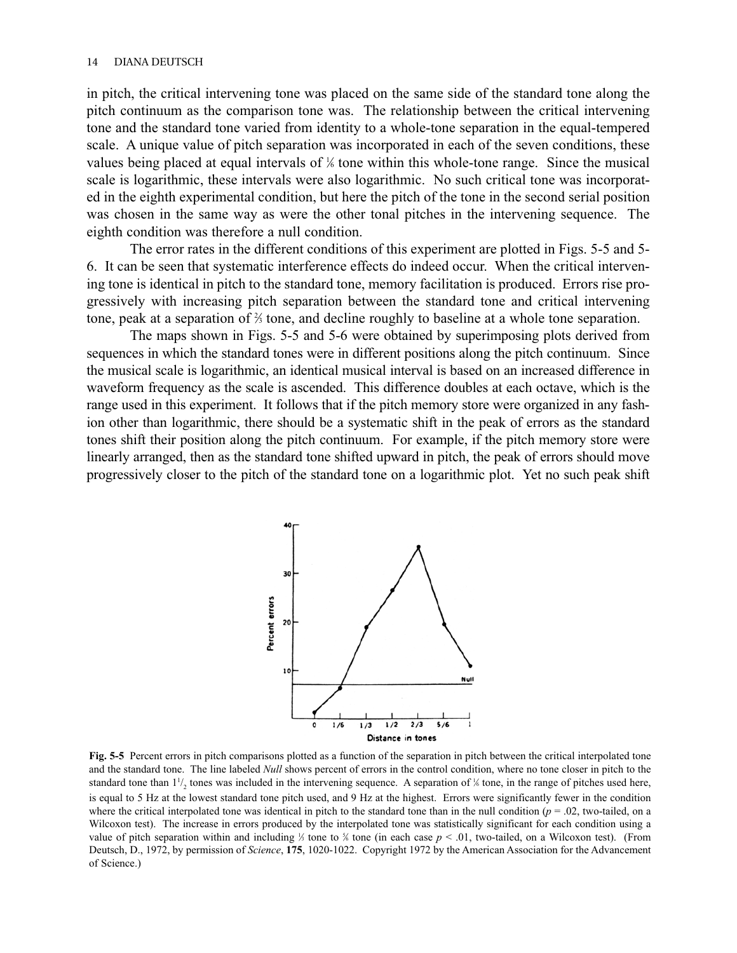#### 14 DIANA DEUTSCH

in pitch, the critical intervening tone was placed on the same side of the standard tone along the pitch continuum as the comparison tone was. The relationship between the critical intervening tone and the standard tone varied from identity to a whole-tone separation in the equal-tempered scale. A unique value of pitch separation was incorporated in each of the seven conditions, these values being placed at equal intervals of % tone within this whole-tone range. Since the musical scale is logarithmic, these intervals were also logarithmic. No such critical tone was incorporated in the eighth experimental condition, but here the pitch of the tone in the second serial position was chosen in the same way as were the other tonal pitches in the intervening sequence. The eighth condition was therefore a null condition.

The error rates in the different conditions of this experiment are plotted in Figs. 5-5 and 5- 6. It can be seen that systematic interference effects do indeed occur. When the critical intervening tone is identical in pitch to the standard tone, memory facilitation is produced. Errors rise progressively with increasing pitch separation between the standard tone and critical intervening tone, peak at a separation of  $\frac{2}{3}$  tone, and decline roughly to baseline at a whole tone separation.

The maps shown in Figs. 5-5 and 5-6 were obtained by superimposing plots derived from sequences in which the standard tones were in different positions along the pitch continuum. Since the musical scale is logarithmic, an identical musical interval is based on an increased difference in waveform frequency as the scale is ascended. This difference doubles at each octave, which is the range used in this experiment. It follows that if the pitch memory store were organized in any fashion other than logarithmic, there should be a systematic shift in the peak of errors as the standard tones shift their position along the pitch continuum. For example, if the pitch memory store were linearly arranged, then as the standard tone shifted upward in pitch, the peak of errors should move progressively closer to the pitch of the standard tone on a logarithmic plot. Yet no such peak shift



Fig. 5-5 Percent errors in pitch comparisons plotted as a function of the separation in pitch between the critical interpolated tone and the standard tone. The line labeled Null shows percent of errors in the control condition, where no tone closer in pitch to the standard tone than  $1\frac{1}{2}$  tones was included in the intervening sequence. A separation of  $\frac{1}{6}$  tone, in the range of pitches used here, is equal to 5 Hz at the lowest standard tone pitch used, and 9 Hz at the highest. Errors were significantly fewer in the condition where the critical interpolated tone was identical in pitch to the standard tone than in the null condition ( $p = .02$ , two-tailed, on a Wilcoxon test). The increase in errors produced by the interpolated tone was statistically significant for each condition using a value of pitch separation within and including  $\frac{1}{2}$  tone to  $\frac{1}{2}$  tone (in each case  $p < .01$ , two-tailed, on a Wilcoxon test). (From Deutsch, D., 1972, by permission of Science, 175, 1020-1022. Copyright 1972 by the American Association for the Advancement of Science.)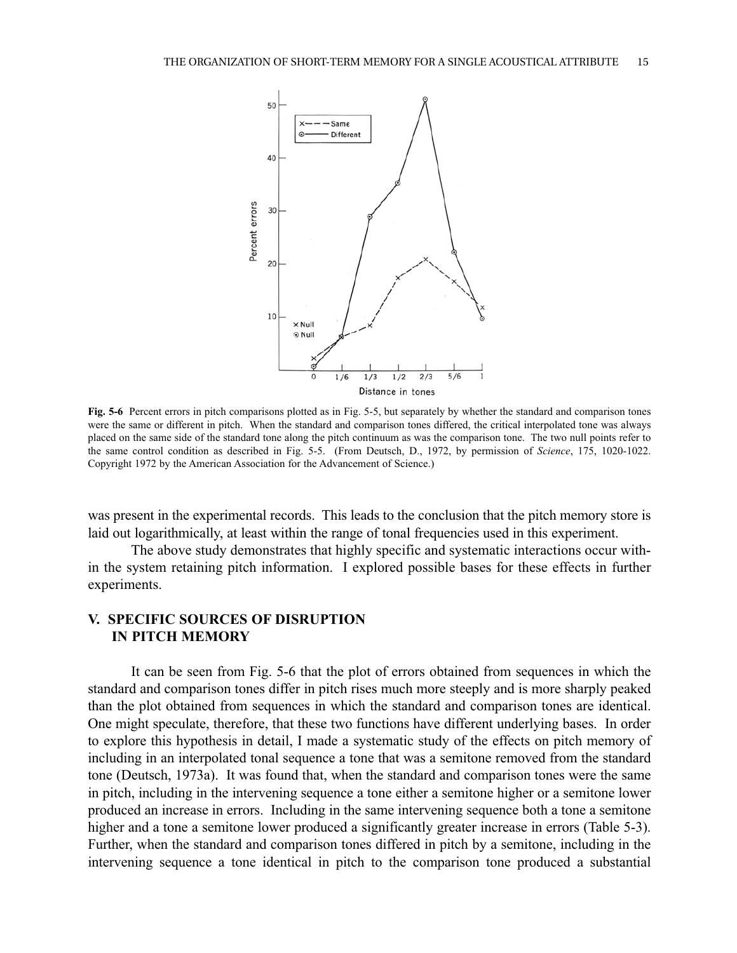

Fig. 5-6 Percent errors in pitch comparisons plotted as in Fig. 5-5, but separately by whether the standard and comparison tones were the same or different in pitch. When the standard and comparison tones differed, the critical interpolated tone was always placed on the same side of the standard tone along the pitch continuum as was the comparison tone. The two null points refer to the same control condition as described in Fig. 5-5. (From Deutsch, D., 1972, by permission of Science, 175, 1020-1022. Copyright 1972 by the American Association for the Advancement of Science.)

was present in the experimental records. This leads to the conclusion that the pitch memory store is laid out logarithmically, at least within the range of tonal frequencies used in this experiment.

The above study demonstrates that highly specific and systematic interactions occur within the system retaining pitch information. I explored possible bases for these effects in further experiments.

# V. SPECIFIC SOURCES OF DISRUPTION IN PITCH MEMORY

It can be seen from Fig. 5-6 that the plot of errors obtained from sequences in which the standard and comparison tones differ in pitch rises much more steeply and is more sharply peaked than the plot obtained from sequences in which the standard and comparison tones are identical. One might speculate, therefore, that these two functions have different underlying bases. In order to explore this hypothesis in detail, I made a systematic study of the effects on pitch memory of including in an interpolated tonal sequence a tone that was a semitone removed from the standard tone (Deutsch, 1973a). It was found that, when the standard and comparison tones were the same in pitch, including in the intervening sequence a tone either a semitone higher or a semitone lower produced an increase in errors. Including in the same intervening sequence both a tone a semitone higher and a tone a semitone lower produced a significantly greater increase in errors (Table 5-3). Further, when the standard and comparison tones differed in pitch by a semitone, including in the intervening sequence a tone identical in pitch to the comparison tone produced a substantial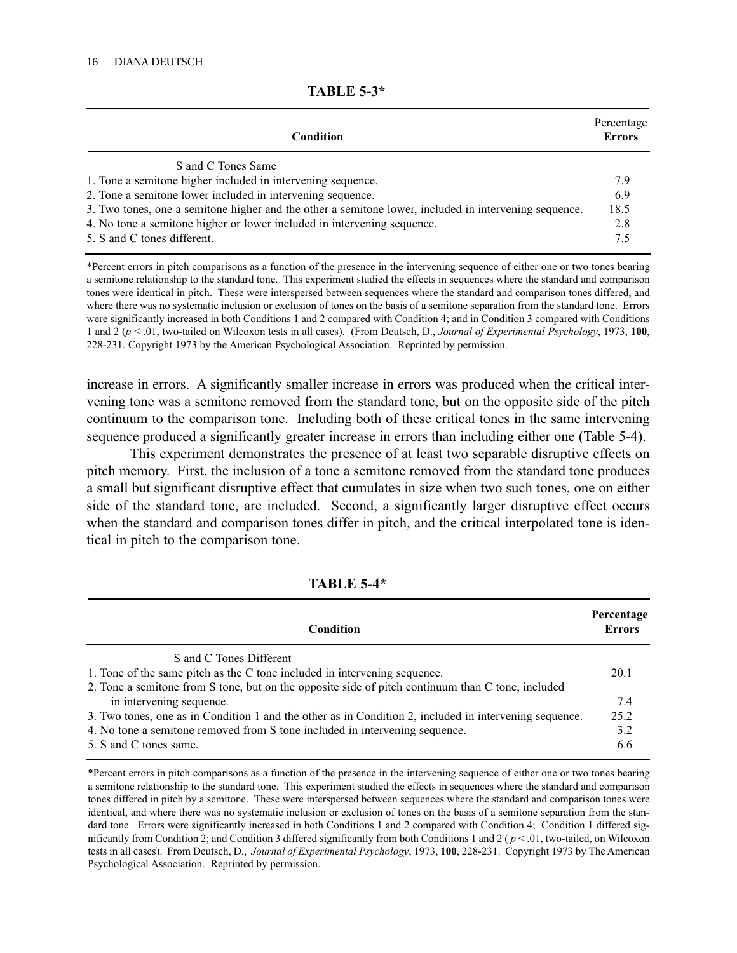TABLE 5-3\*

| <b>Condition</b>                                                                                      | Percentage<br><b>Errors</b> |
|-------------------------------------------------------------------------------------------------------|-----------------------------|
| S and C Tones Same                                                                                    |                             |
| 1. Tone a semitone higher included in intervening sequence.                                           | 7.9                         |
| 2. Tone a semitone lower included in intervening sequence.                                            | 6.9                         |
| 3. Two tones, one a semitone higher and the other a semitone lower, included in intervening sequence. | 18.5                        |
| 4. No tone a semitone higher or lower included in intervening sequence.                               | 2.8                         |
| 5. S and C tones different.                                                                           | 7.5                         |

\*Percent errors in pitch comparisons as a function of the presence in the intervening sequence of either one or two tones bearing a semitone relationship to the standard tone. This experiment studied the effects in sequences where the standard and comparison tones were identical in pitch. These were interspersed between sequences where the standard and comparison tones differed, and where there was no systematic inclusion or exclusion of tones on the basis of a semitone separation from the standard tone. Errors were significantly increased in both Conditions 1 and 2 compared with Condition 4; and in Condition 3 compared with Conditions 1 and 2  $(p < .01$ , two-tailed on Wilcoxon tests in all cases). (From Deutsch, D., Journal of Experimental Psychology, 1973, 100, 228-231. Copyright 1973 by the American Psychological Association. Reprinted by permission.

increase in errors. A significantly smaller increase in errors was produced when the critical intervening tone was a semitone removed from the standard tone, but on the opposite side of the pitch continuum to the comparison tone. Including both of these critical tones in the same intervening sequence produced a significantly greater increase in errors than including either one (Table 5-4).

This experiment demonstrates the presence of at least two separable disruptive effects on pitch memory. First, the inclusion of a tone a semitone removed from the standard tone produces a small but significant disruptive effect that cumulates in size when two such tones, one on either side of the standard tone, are included. Second, a significantly larger disruptive effect occurs when the standard and comparison tones differ in pitch, and the critical interpolated tone is identical in pitch to the comparison tone.

| Condition                                                                                              | Percentage<br><b>Errors</b> |
|--------------------------------------------------------------------------------------------------------|-----------------------------|
| S and C Tones Different                                                                                |                             |
| 1. Tone of the same pitch as the C tone included in intervening sequence.                              | 20.1                        |
| 2. Tone a semitone from S tone, but on the opposite side of pitch continuum than C tone, included      |                             |
| in intervening sequence.                                                                               | 7.4                         |
| 3. Two tones, one as in Condition 1 and the other as in Condition 2, included in intervening sequence. | 25.2                        |
| 4. No tone a semitone removed from S tone included in intervening sequence.                            | 3.2                         |
| 5. S and C tones same.                                                                                 | 6.6                         |

#### TABLE 5-4\*

<sup>\*</sup>Percent errors in pitch comparisons as a function of the presence in the intervening sequence of either one or two tones bearing a semitone relationship to the standard tone. This experiment studied the effects in sequences where the standard and comparison tones differed in pitch by a semitone. These were interspersed between sequences where the standard and comparison tones were identical, and where there was no systematic inclusion or exclusion of tones on the basis of a semitone separation from the standard tone. Errors were significantly increased in both Conditions 1 and 2 compared with Condition 4; Condition 1 differed significantly from Condition 2; and Condition 3 differed significantly from both Conditions 1 and 2 ( $p < 0.01$ , two-tailed, on Wilcoxon tests in all cases). From Deutsch, D., *Journal of Experimental Psychology*, 1973, 100, 228-231. Copyright 1973 by The American Psychological Association. Reprinted by permission.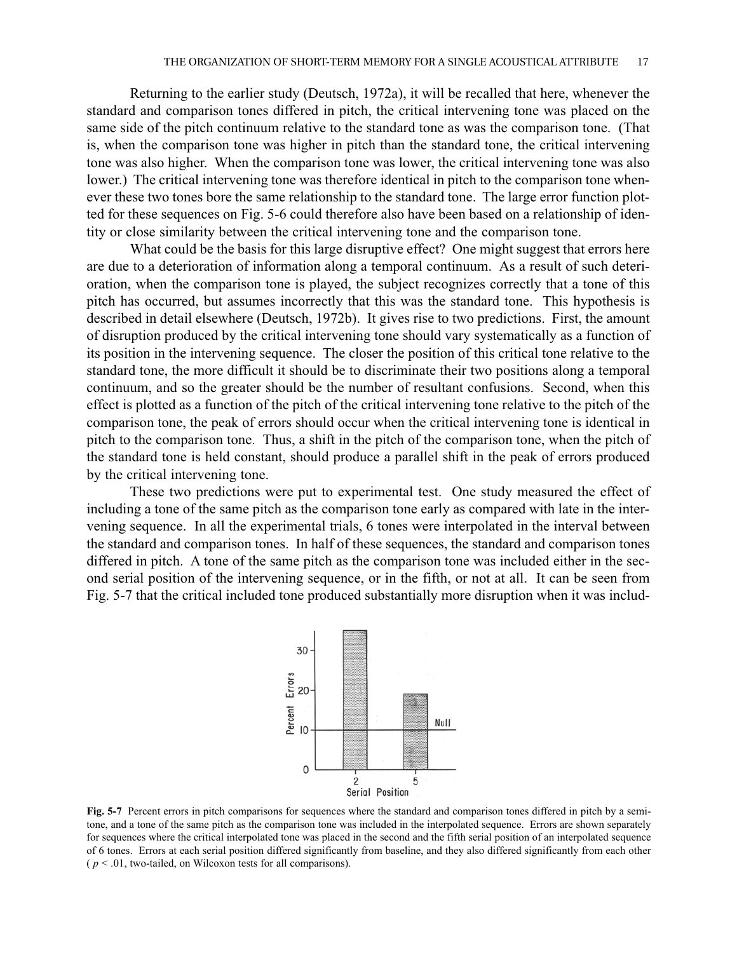Returning to the earlier study (Deutsch, 1972a), it will be recalled that here, whenever the standard and comparison tones differed in pitch, the critical intervening tone was placed on the same side of the pitch continuum relative to the standard tone as was the comparison tone. (That is, when the comparison tone was higher in pitch than the standard tone, the critical intervening tone was also higher. When the comparison tone was lower, the critical intervening tone was also lower.) The critical intervening tone was therefore identical in pitch to the comparison tone whenever these two tones bore the same relationship to the standard tone. The large error function plotted for these sequences on Fig. 5-6 could therefore also have been based on a relationship of identity or close similarity between the critical intervening tone and the comparison tone.

What could be the basis for this large disruptive effect? One might suggest that errors here are due to a deterioration of information along a temporal continuum. As a result of such deterioration, when the comparison tone is played, the subject recognizes correctly that a tone of this pitch has occurred, but assumes incorrectly that this was the standard tone. This hypothesis is described in detail elsewhere (Deutsch, 1972b). It gives rise to two predictions. First, the amount of disruption produced by the critical intervening tone should vary systematically as a function of its position in the intervening sequence. The closer the position of this critical tone relative to the standard tone, the more difficult it should be to discriminate their two positions along a temporal continuum, and so the greater should be the number of resultant confusions. Second, when this effect is plotted as a function of the pitch of the critical intervening tone relative to the pitch of the comparison tone, the peak of errors should occur when the critical intervening tone is identical in pitch to the comparison tone. Thus, a shift in the pitch of the comparison tone, when the pitch of the standard tone is held constant, should produce a parallel shift in the peak of errors produced by the critical intervening tone.

These two predictions were put to experimental test. One study measured the effect of including a tone of the same pitch as the comparison tone early as compared with late in the intervening sequence. In all the experimental trials, 6 tones were interpolated in the interval between the standard and comparison tones. In half of these sequences, the standard and comparison tones differed in pitch. A tone of the same pitch as the comparison tone was included either in the second serial position of the intervening sequence, or in the fifth, or not at all. It can be seen from Fig. 5-7 that the critical included tone produced substantially more disruption when it was includ-



Fig. 5-7 Percent errors in pitch comparisons for sequences where the standard and comparison tones differed in pitch by a semitone, and a tone of the same pitch as the comparison tone was included in the interpolated sequence. Errors are shown separately for sequences where the critical interpolated tone was placed in the second and the fifth serial position of an interpolated sequence of 6 tones. Errors at each serial position differed significantly from baseline, and they also differed significantly from each other  $(p \le 0.01,$  two-tailed, on Wilcoxon tests for all comparisons).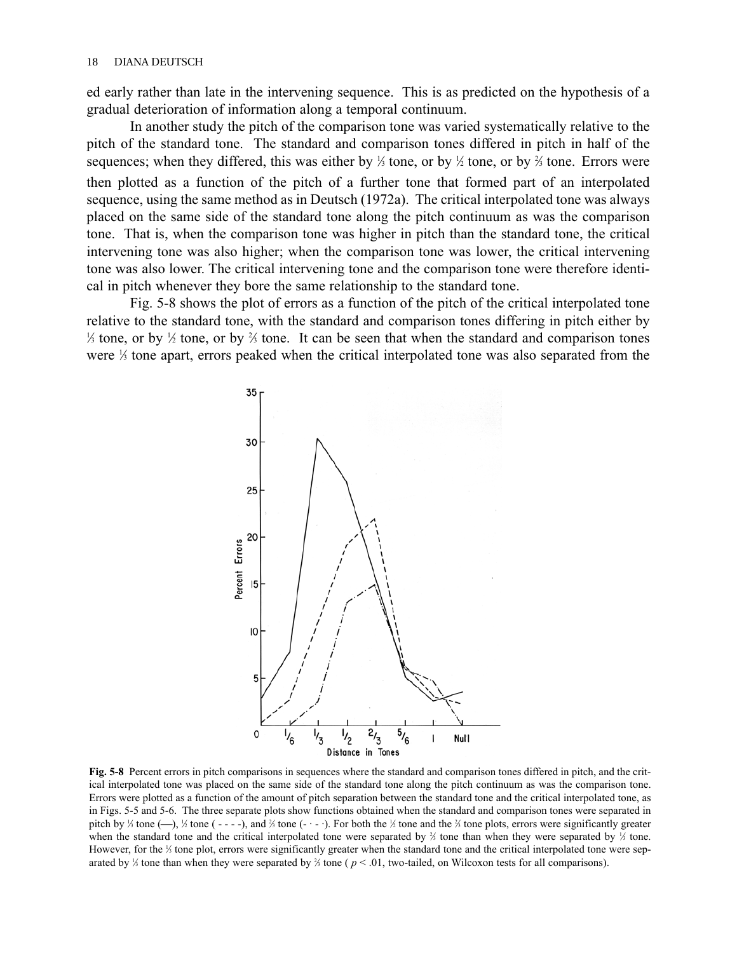ed early rather than late in the intervening sequence. This is as predicted on the hypothesis of a gradual deterioration of information along a temporal continuum.

In another study the pitch of the comparison tone was varied systematically relative to the pitch of the standard tone. The standard and comparison tones differed in pitch in half of the sequences; when they differed, this was either by  $\frac{1}{2}$  tone, or by  $\frac{1}{2}$  tone, or by  $\frac{2}{3}$  tone. Errors were then plotted as a function of the pitch of a further tone that formed part of an interpolated sequence, using the same method as in Deutsch (1972a). The critical interpolated tone was always placed on the same side of the standard tone along the pitch continuum as was the comparison tone. That is, when the comparison tone was higher in pitch than the standard tone, the critical intervening tone was also higher; when the comparison tone was lower, the critical intervening tone was also lower. The critical intervening tone and the comparison tone were therefore identical in pitch whenever they bore the same relationship to the standard tone.

Fig. 5-8 shows the plot of errors as a function of the pitch of the critical interpolated tone relative to the standard tone, with the standard and comparison tones differing in pitch either by  $\frac{1}{2}$  tone, or by  $\frac{1}{2}$  tone, or by  $\frac{2}{3}$  tone. It can be seen that when the standard and comparison tones were 1 ⁄3 tone apart, errors peaked when the critical interpolated tone was also separated from the



Fig. 5-8 Percent errors in pitch comparisons in sequences where the standard and comparison tones differed in pitch, and the critical interpolated tone was placed on the same side of the standard tone along the pitch continuum as was the comparison tone. Errors were plotted as a function of the amount of pitch separation between the standard tone and the critical interpolated tone, as in Figs. 5-5 and 5-6. The three separate plots show functions obtained when the standard and comparison tones were separated in pitch by  $\frac{1}{2}$  tone (-),  $\frac{1}{2}$  tone (- - -), and  $\frac{2}{3}$  tone (- · - ·). For both the  $\frac{1}{2}$  tone and the  $\frac{2}{3}$  tone plots, errors were significantly greater when the standard tone and the critical interpolated tone were separated by  $\frac{1}{2}$  tone than when they were separated by  $\frac{1}{2}$  tone. However, for the  $\frac{1}{2}$  tone plot, errors were significantly greater when the standard tone and the critical interpolated tone were separated by  $\frac{1}{2}$  tone than when they were separated by  $\frac{2}{3}$  tone ( $p < .01$ , two-tailed, on Wilcoxon tests for all comparisons).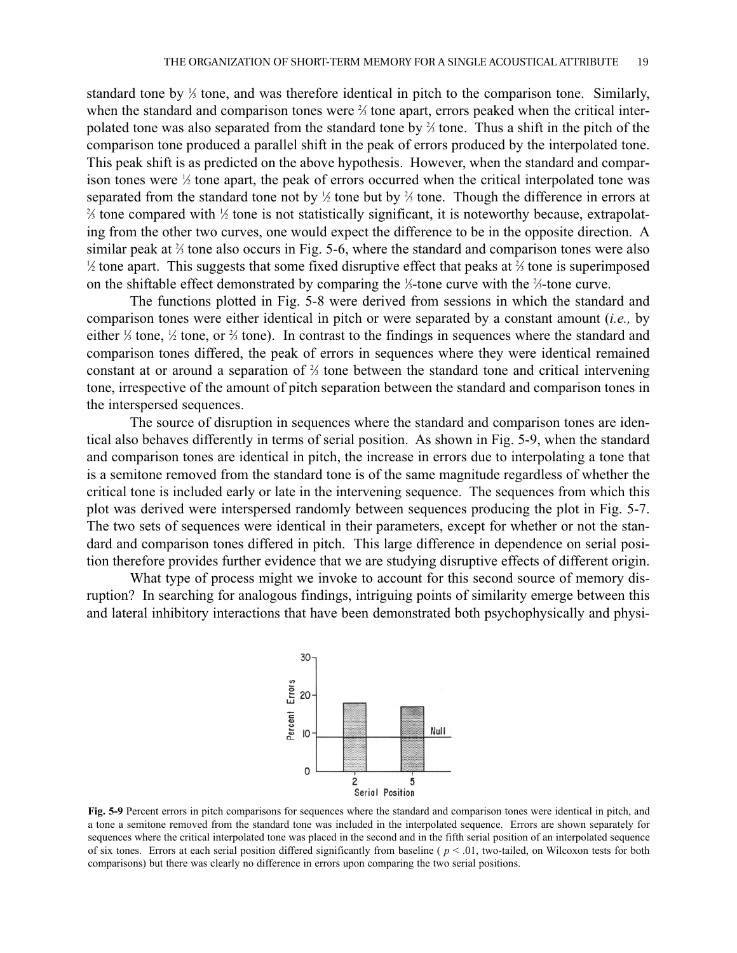standard tone by  $\frac{1}{2}$  tone, and was therefore identical in pitch to the comparison tone. Similarly, when the standard and comparison tones were  $\frac{2}{3}$  tone apart, errors peaked when the critical interpolated tone was also separated from the standard tone by  $\frac{2}{3}$  tone. Thus a shift in the pitch of the comparison tone produced a parallel shift in the peak of errors produced by the interpolated tone. This peak shift is as predicted on the above hypothesis. However, when the standard and comparison tones were  $\frac{1}{2}$  tone apart, the peak of errors occurred when the critical interpolated tone was separated from the standard tone not by  $\frac{1}{2}$  tone but by  $\frac{2}{3}$  tone. Though the difference in errors at  $\frac{2}{3}$  tone compared with  $\frac{1}{2}$  tone is not statistically significant, it is noteworthy because, extrapolating from the other two curves, one would expect the difference to be in the opposite direction. A similar peak at  $\frac{2}{3}$  tone also occurs in Fig. 5-6, where the standard and comparison tones were also  $\frac{1}{2}$  tone apart. This suggests that some fixed disruptive effect that peaks at  $\frac{1}{2}$  tone is superimposed on the shiftable effect demonstrated by comparing the  $\frac{1}{2}$ -tone curve with the  $\frac{2}{2}$ -tone curve.

The functions plotted in Fig. 5-8 were derived from sessions in which the standard and comparison tones were either identical in pitch or were separated by a constant amount (i.e., by either  $\frac{1}{2}$  tone,  $\frac{1}{2}$  tone, or  $\frac{2}{3}$  tone). In contrast to the findings in sequences where the standard and comparison tones differed, the peak of errors in sequences where they were identical remained constant at or around a separation of  $\frac{2}{3}$  tone between the standard tone and critical intervening tone, irrespective of the amount of pitch separation between the standard and comparison tones in the interspersed sequences.

The source of disruption in sequences where the standard and comparison tones are identical also behaves differently in terms of serial position. As shown in Fig. 5-9, when the standard and comparison tones are identical in pitch, the increase in errors due to interpolating a tone that is a semitone removed from the standard tone is of the same magnitude regardless of whether the critical tone is included early or late in the intervening sequence. The sequences from which this plot was derived were interspersed randomly between sequences producing the plot in Fig. 5-7. The two sets of sequences were identical in their parameters, except for whether or not the standard and comparison tones differed in pitch. This large difference in dependence on serial position therefore provides further evidence that we are studying disruptive effects of different origin.

What type of process might we invoke to account for this second source of memory disruption? In searching for analogous findings, intriguing points of similarity emerge between this and lateral inhibitory interactions that have been demonstrated both psychophysically and physi-



Fig. 5-9 Percent errors in pitch comparisons for sequences where the standard and comparison tones were identical in pitch, and a tone a semitone removed from the standard tone was included in the interpolated sequence. Errors are shown separately for sequences where the critical interpolated tone was placed in the second and in the fifth serial position of an interpolated sequence of six tones. Errors at each serial position differed significantly from baseline ( $p < .01$ , two-tailed, on Wilcoxon tests for both comparisons) but there was clearly no difference in errors upon comparing the two serial positions.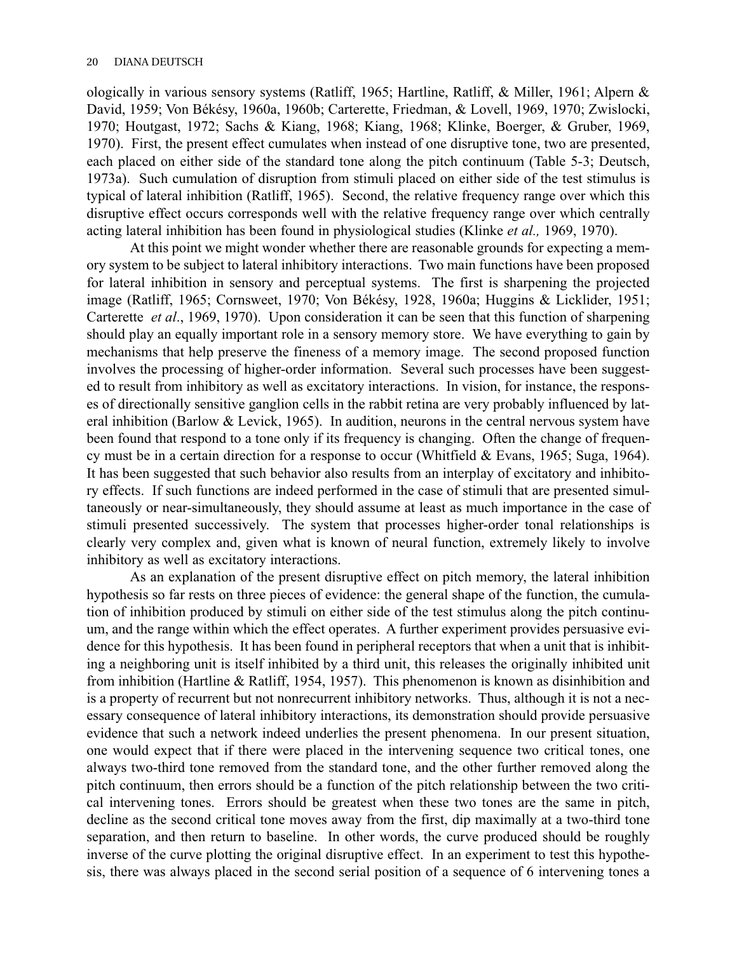ologically in various sensory systems (Ratliff, 1965; Hartline, Ratliff, & Miller, 1961; Alpern & David, 1959; Von Békésy, 1960a, 1960b; Carterette, Friedman, & Lovell, 1969, 1970; Zwislocki, 1970; Houtgast, 1972; Sachs & Kiang, 1968; Kiang, 1968; Klinke, Boerger, & Gruber, 1969, 1970). First, the present effect cumulates when instead of one disruptive tone, two are presented, each placed on either side of the standard tone along the pitch continuum (Table 5-3; Deutsch, 1973a). Such cumulation of disruption from stimuli placed on either side of the test stimulus is typical of lateral inhibition (Ratliff, 1965). Second, the relative frequency range over which this disruptive effect occurs corresponds well with the relative frequency range over which centrally acting lateral inhibition has been found in physiological studies (Klinke et al., 1969, 1970).

At this point we might wonder whether there are reasonable grounds for expecting a memory system to be subject to lateral inhibitory interactions. Two main functions have been proposed for lateral inhibition in sensory and perceptual systems. The first is sharpening the projected image (Ratliff, 1965; Cornsweet, 1970; Von Békésy, 1928, 1960a; Huggins & Licklider, 1951; Carterette et al., 1969, 1970). Upon consideration it can be seen that this function of sharpening should play an equally important role in a sensory memory store. We have everything to gain by mechanisms that help preserve the fineness of a memory image. The second proposed function involves the processing of higher-order information. Several such processes have been suggested to result from inhibitory as well as excitatory interactions. In vision, for instance, the responses of directionally sensitive ganglion cells in the rabbit retina are very probably influenced by lateral inhibition (Barlow & Levick, 1965). In audition, neurons in the central nervous system have been found that respond to a tone only if its frequency is changing. Often the change of frequency must be in a certain direction for a response to occur (Whitfield & Evans, 1965; Suga, 1964). It has been suggested that such behavior also results from an interplay of excitatory and inhibitory effects. If such functions are indeed performed in the case of stimuli that are presented simultaneously or near-simultaneously, they should assume at least as much importance in the case of stimuli presented successively. The system that processes higher-order tonal relationships is clearly very complex and, given what is known of neural function, extremely likely to involve inhibitory as well as excitatory interactions.

As an explanation of the present disruptive effect on pitch memory, the lateral inhibition hypothesis so far rests on three pieces of evidence: the general shape of the function, the cumulation of inhibition produced by stimuli on either side of the test stimulus along the pitch continuum, and the range within which the effect operates. A further experiment provides persuasive evidence for this hypothesis. It has been found in peripheral receptors that when a unit that is inhibiting a neighboring unit is itself inhibited by a third unit, this releases the originally inhibited unit from inhibition (Hartline & Ratliff, 1954, 1957). This phenomenon is known as disinhibition and is a property of recurrent but not nonrecurrent inhibitory networks. Thus, although it is not a necessary consequence of lateral inhibitory interactions, its demonstration should provide persuasive evidence that such a network indeed underlies the present phenomena. In our present situation, one would expect that if there were placed in the intervening sequence two critical tones, one always two-third tone removed from the standard tone, and the other further removed along the pitch continuum, then errors should be a function of the pitch relationship between the two critical intervening tones. Errors should be greatest when these two tones are the same in pitch, decline as the second critical tone moves away from the first, dip maximally at a two-third tone separation, and then return to baseline. In other words, the curve produced should be roughly inverse of the curve plotting the original disruptive effect. In an experiment to test this hypothesis, there was always placed in the second serial position of a sequence of 6 intervening tones a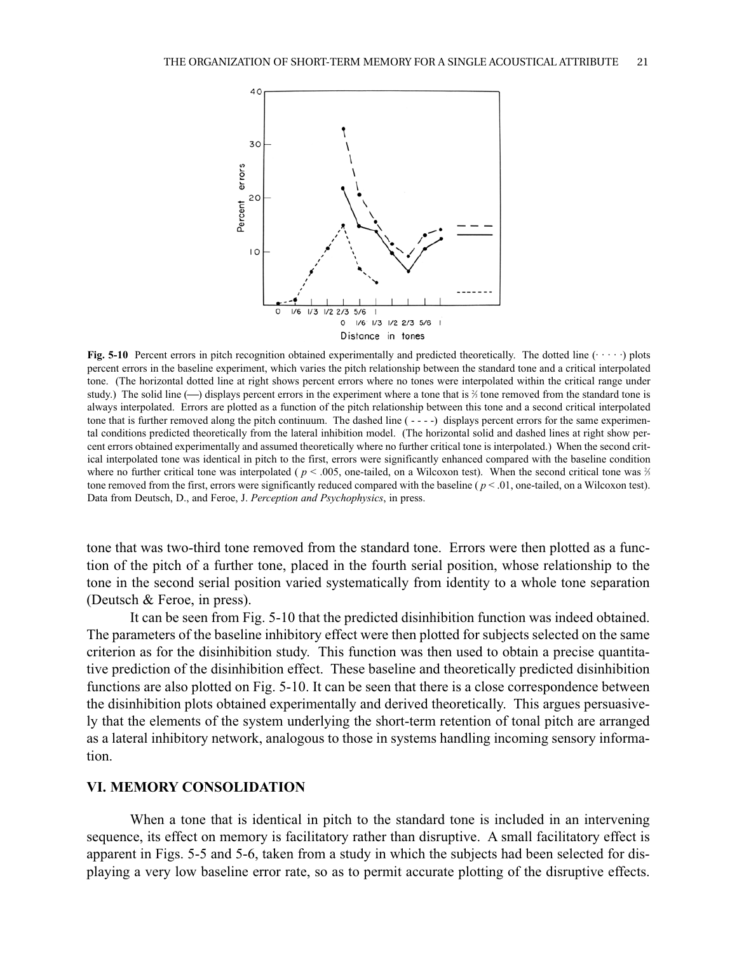

Fig. 5-10 Percent errors in pitch recognition obtained experimentally and predicted theoretically. The dotted line  $(\cdots)$  plots percent errors in the baseline experiment, which varies the pitch relationship between the standard tone and a critical interpolated tone. (The horizontal dotted line at right shows percent errors where no tones were interpolated within the critical range under study.) The solid line  $(-)$  displays percent errors in the experiment where a tone that is  $\frac{2}{3}$  tone removed from the standard tone is always interpolated. Errors are plotted as a function of the pitch relationship between this tone and a second critical interpolated tone that is further removed along the pitch continuum. The dashed line ( - - - - ) displays percent errors for the same experimental conditions predicted theoretically from the lateral inhibition model. (The horizontal solid and dashed lines at right show percent errors obtained experimentally and assumed theoretically where no further critical tone is interpolated.) When the second critical interpolated tone was identical in pitch to the first, errors were significantly enhanced compared with the baseline condition where no further critical tone was interpolated ( $p < .005$ , one-tailed, on a Wilcoxon test). When the second critical tone was  $\frac{2}{3}$ tone removed from the first, errors were significantly reduced compared with the baseline ( $p < 0.01$ , one-tailed, on a Wilcoxon test). Data from Deutsch, D., and Feroe, J. Perception and Psychophysics, in press.

tone that was two-third tone removed from the standard tone. Errors were then plotted as a function of the pitch of a further tone, placed in the fourth serial position, whose relationship to the tone in the second serial position varied systematically from identity to a whole tone separation (Deutsch & Feroe, in press).

It can be seen from Fig. 5-10 that the predicted disinhibition function was indeed obtained. The parameters of the baseline inhibitory effect were then plotted for subjects selected on the same criterion as for the disinhibition study. This function was then used to obtain a precise quantitative prediction of the disinhibition effect. These baseline and theoretically predicted disinhibition functions are also plotted on Fig. 5-10. It can be seen that there is a close correspondence between the disinhibition plots obtained experimentally and derived theoretically. This argues persuasively that the elements of the system underlying the short-term retention of tonal pitch are arranged as a lateral inhibitory network, analogous to those in systems handling incoming sensory information.

### VI. MEMORY CONSOLIDATION

When a tone that is identical in pitch to the standard tone is included in an intervening sequence, its effect on memory is facilitatory rather than disruptive. A small facilitatory effect is apparent in Figs. 5-5 and 5-6, taken from a study in which the subjects had been selected for displaying a very low baseline error rate, so as to permit accurate plotting of the disruptive effects.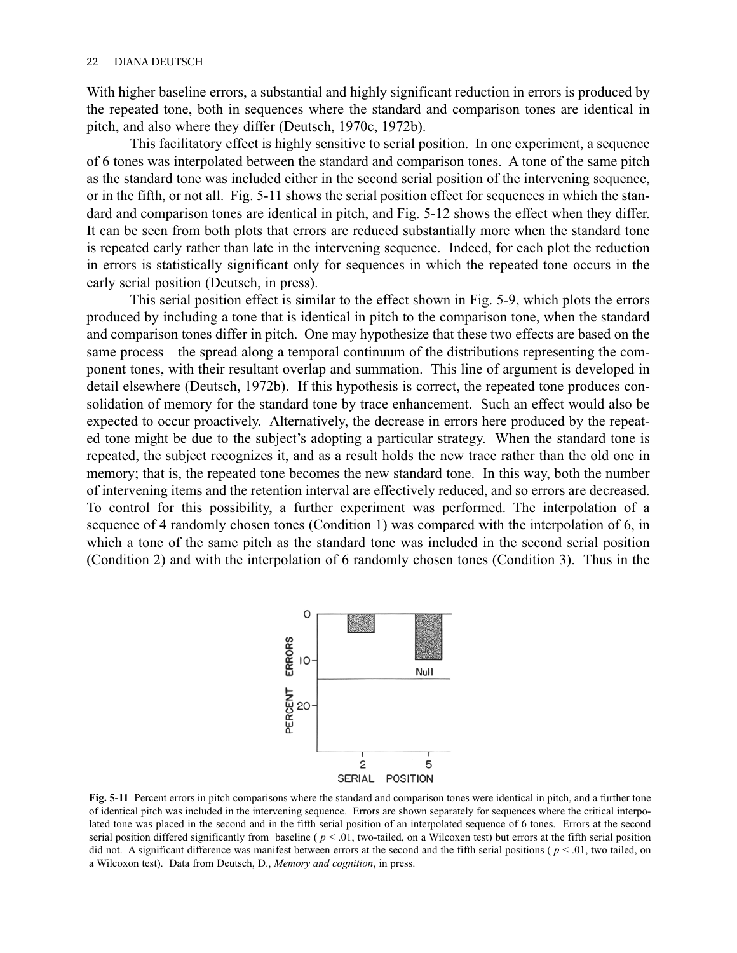With higher baseline errors, a substantial and highly significant reduction in errors is produced by the repeated tone, both in sequences where the standard and comparison tones are identical in pitch, and also where they differ (Deutsch, 1970c, 1972b).

This facilitatory effect is highly sensitive to serial position. In one experiment, a sequence of 6 tones was interpolated between the standard and comparison tones. A tone of the same pitch as the standard tone was included either in the second serial position of the intervening sequence, or in the fifth, or not all. Fig. 5-11 shows the serial position effect for sequences in which the standard and comparison tones are identical in pitch, and Fig. 5-12 shows the effect when they differ. It can be seen from both plots that errors are reduced substantially more when the standard tone is repeated early rather than late in the intervening sequence. Indeed, for each plot the reduction in errors is statistically significant only for sequences in which the repeated tone occurs in the early serial position (Deutsch, in press).

This serial position effect is similar to the effect shown in Fig. 5-9, which plots the errors produced by including a tone that is identical in pitch to the comparison tone, when the standard and comparison tones differ in pitch. One may hypothesize that these two effects are based on the same process—the spread along a temporal continuum of the distributions representing the component tones, with their resultant overlap and summation. This line of argument is developed in detail elsewhere (Deutsch, 1972b). If this hypothesis is correct, the repeated tone produces consolidation of memory for the standard tone by trace enhancement. Such an effect would also be expected to occur proactively. Alternatively, the decrease in errors here produced by the repeated tone might be due to the subject's adopting a particular strategy. When the standard tone is repeated, the subject recognizes it, and as a result holds the new trace rather than the old one in memory; that is, the repeated tone becomes the new standard tone. In this way, both the number of intervening items and the retention interval are effectively reduced, and so errors are decreased. To control for this possibility, a further experiment was performed. The interpolation of a sequence of 4 randomly chosen tones (Condition 1) was compared with the interpolation of 6, in which a tone of the same pitch as the standard tone was included in the second serial position (Condition 2) and with the interpolation of 6 randomly chosen tones (Condition 3). Thus in the



Fig. 5-11 Percent errors in pitch comparisons where the standard and comparison tones were identical in pitch, and a further tone of identical pitch was included in the intervening sequence. Errors are shown separately for sequences where the critical interpolated tone was placed in the second and in the fifth serial position of an interpolated sequence of 6 tones. Errors at the second serial position differed significantly from baseline ( $p < .01$ , two-tailed, on a Wilcoxen test) but errors at the fifth serial position did not. A significant difference was manifest between errors at the second and the fifth serial positions ( $p < 0.01$ , two tailed, on a Wilcoxon test). Data from Deutsch, D., Memory and cognition, in press.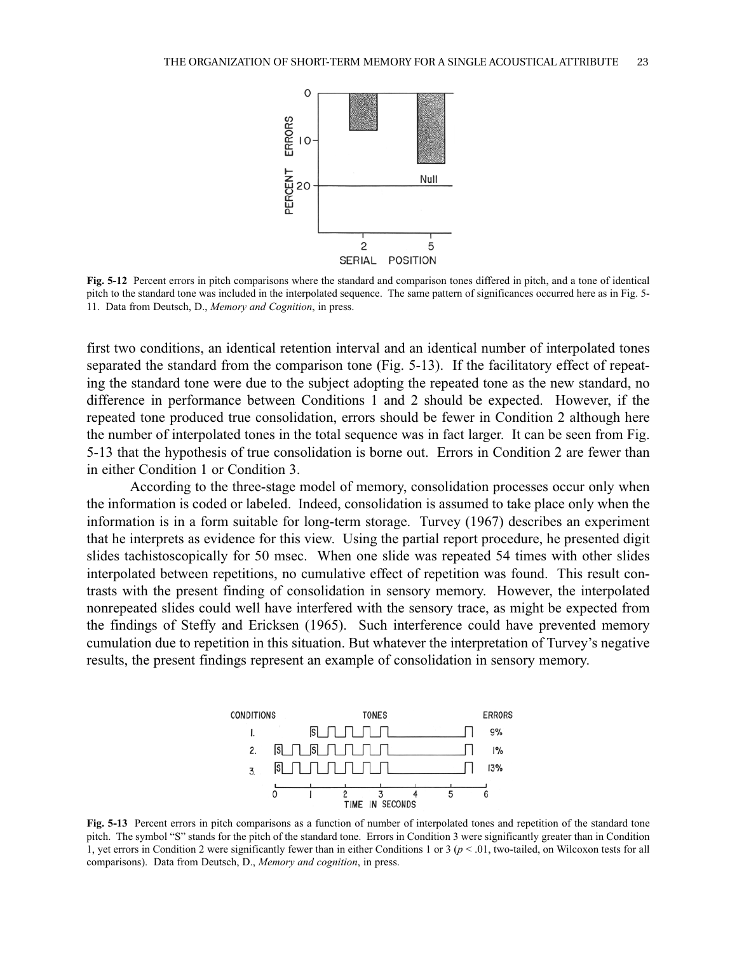

Fig. 5-12 Percent errors in pitch comparisons where the standard and comparison tones differed in pitch, and a tone of identical pitch to the standard tone was included in the interpolated sequence. The same pattern of significances occurred here as in Fig. 5- 11. Data from Deutsch, D., Memory and Cognition, in press.

first two conditions, an identical retention interval and an identical number of interpolated tones separated the standard from the comparison tone (Fig. 5-13). If the facilitatory effect of repeating the standard tone were due to the subject adopting the repeated tone as the new standard, no difference in performance between Conditions 1 and 2 should be expected. However, if the repeated tone produced true consolidation, errors should be fewer in Condition 2 although here the number of interpolated tones in the total sequence was in fact larger. It can be seen from Fig. 5-13 that the hypothesis of true consolidation is borne out. Errors in Condition 2 are fewer than in either Condition 1 or Condition 3.

According to the three-stage model of memory, consolidation processes occur only when the information is coded or labeled. Indeed, consolidation is assumed to take place only when the information is in a form suitable for long-term storage. Turvey (1967) describes an experiment that he interprets as evidence for this view. Using the partial report procedure, he presented digit slides tachistoscopically for 50 msec. When one slide was repeated 54 times with other slides interpolated between repetitions, no cumulative effect of repetition was found. This result contrasts with the present finding of consolidation in sensory memory. However, the interpolated nonrepeated slides could well have interfered with the sensory trace, as might be expected from the findings of Steffy and Ericksen (1965). Such interference could have prevented memory cumulation due to repetition in this situation. But whatever the interpretation of Turvey's negative results, the present findings represent an example of consolidation in sensory memory.



Fig. 5-13 Percent errors in pitch comparisons as a function of number of interpolated tones and repetition of the standard tone pitch. The symbol "S" stands for the pitch of the standard tone. Errors in Condition 3 were significantly greater than in Condition 1, yet errors in Condition 2 were significantly fewer than in either Conditions 1 or 3 ( $p < .01$ , two-tailed, on Wilcoxon tests for all comparisons). Data from Deutsch, D., Memory and cognition, in press.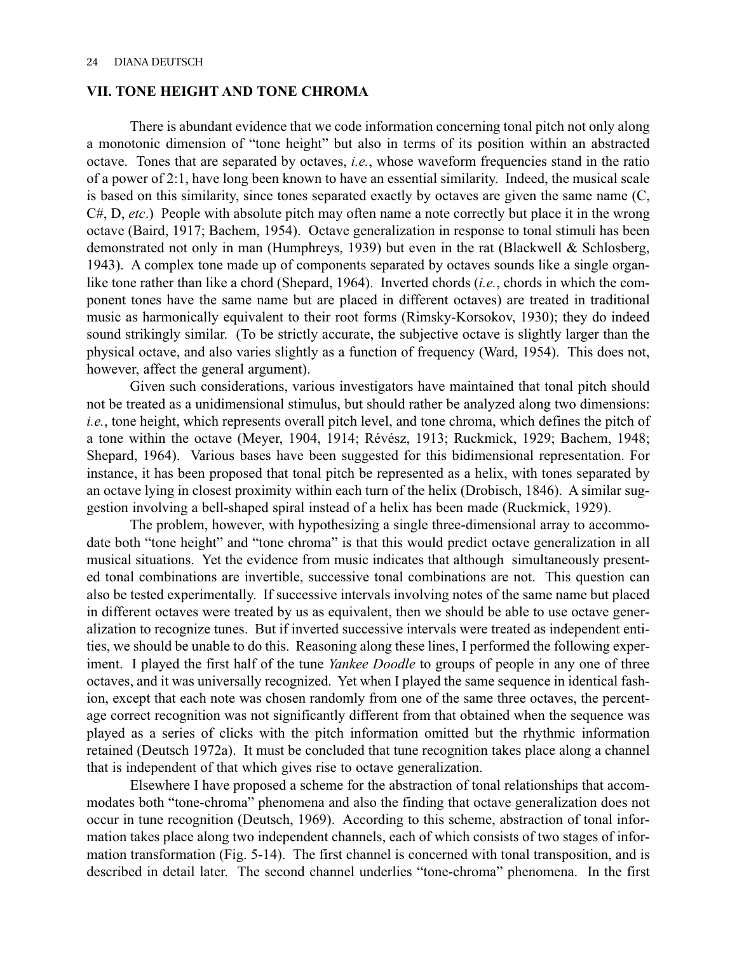### VII. TONE HEIGHT AND TONE CHROMA

There is abundant evidence that we code information concerning tonal pitch not only along a monotonic dimension of "tone height" but also in terms of its position within an abstracted octave. Tones that are separated by octaves, i.e., whose waveform frequencies stand in the ratio of a power of 2:1, have long been known to have an essential similarity. Indeed, the musical scale is based on this similarity, since tones separated exactly by octaves are given the same name (C, C#, D, etc.) People with absolute pitch may often name a note correctly but place it in the wrong octave (Baird, 1917; Bachem, 1954). Octave generalization in response to tonal stimuli has been demonstrated not only in man (Humphreys, 1939) but even in the rat (Blackwell & Schlosberg, 1943). A complex tone made up of components separated by octaves sounds like a single organlike tone rather than like a chord (Shepard, 1964). Inverted chords (i.e., chords in which the component tones have the same name but are placed in different octaves) are treated in traditional music as harmonically equivalent to their root forms (Rimsky-Korsokov, 1930); they do indeed sound strikingly similar. (To be strictly accurate, the subjective octave is slightly larger than the physical octave, and also varies slightly as a function of frequency (Ward, 1954). This does not, however, affect the general argument).

Given such considerations, various investigators have maintained that tonal pitch should not be treated as a unidimensional stimulus, but should rather be analyzed along two dimensions: i.e., tone height, which represents overall pitch level, and tone chroma, which defines the pitch of a tone within the octave (Meyer, 1904, 1914; Révész, 1913; Ruckmick, 1929; Bachem, 1948; Shepard, 1964). Various bases have been suggested for this bidimensional representation. For instance, it has been proposed that tonal pitch be represented as a helix, with tones separated by an octave lying in closest proximity within each turn of the helix (Drobisch, 1846). A similar suggestion involving a bell-shaped spiral instead of a helix has been made (Ruckmick, 1929).

The problem, however, with hypothesizing a single three-dimensional array to accommodate both "tone height" and "tone chroma" is that this would predict octave generalization in all musical situations. Yet the evidence from music indicates that although simultaneously presented tonal combinations are invertible, successive tonal combinations are not. This question can also be tested experimentally. If successive intervals involving notes of the same name but placed in different octaves were treated by us as equivalent, then we should be able to use octave generalization to recognize tunes. But if inverted successive intervals were treated as independent entities, we should be unable to do this. Reasoning along these lines, I performed the following experiment. I played the first half of the tune *Yankee Doodle* to groups of people in any one of three octaves, and it was universally recognized. Yet when I played the same sequence in identical fashion, except that each note was chosen randomly from one of the same three octaves, the percentage correct recognition was not significantly different from that obtained when the sequence was played as a series of clicks with the pitch information omitted but the rhythmic information retained (Deutsch 1972a). It must be concluded that tune recognition takes place along a channel that is independent of that which gives rise to octave generalization.

Elsewhere I have proposed a scheme for the abstraction of tonal relationships that accommodates both "tone-chroma" phenomena and also the finding that octave generalization does not occur in tune recognition (Deutsch, 1969). According to this scheme, abstraction of tonal information takes place along two independent channels, each of which consists of two stages of information transformation (Fig. 5-14). The first channel is concerned with tonal transposition, and is described in detail later. The second channel underlies "tone-chroma" phenomena. In the first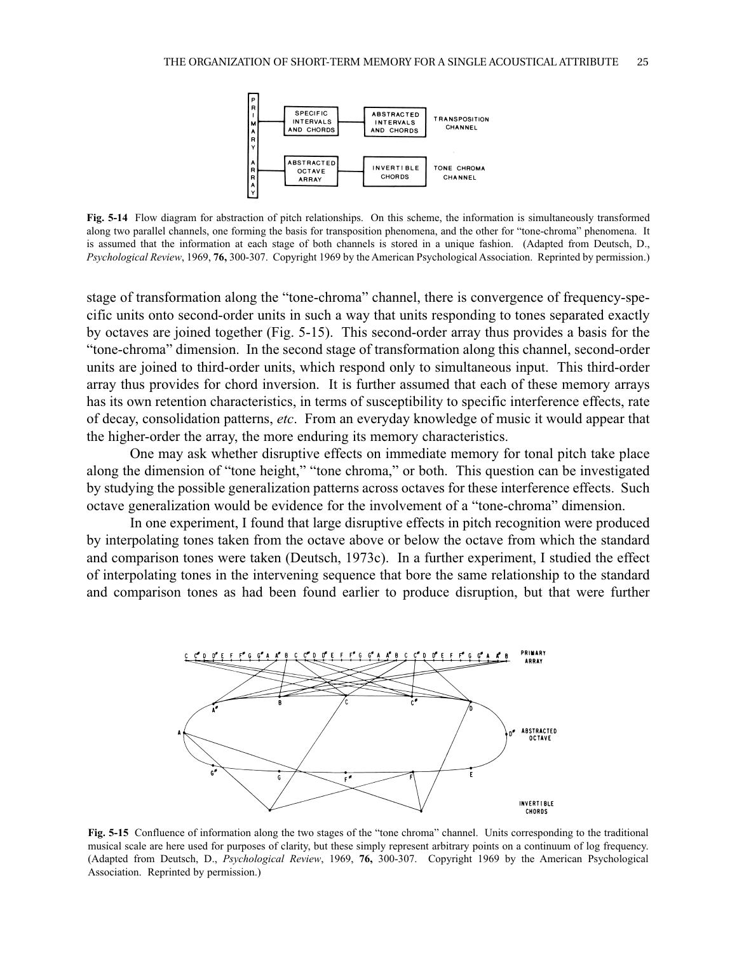

Fig. 5-14 Flow diagram for abstraction of pitch relationships. On this scheme, the information is simultaneously transformed along two parallel channels, one forming the basis for transposition phenomena, and the other for "tone-chroma" phenomena. It is assumed that the information at each stage of both channels is stored in a unique fashion. (Adapted from Deutsch, D., Psychological Review, 1969, 76, 300-307. Copyright 1969 by the American Psychological Association. Reprinted by permission.)

stage of transformation along the "tone-chroma" channel, there is convergence of frequency-specific units onto second-order units in such a way that units responding to tones separated exactly by octaves are joined together (Fig. 5-15). This second-order array thus provides a basis for the "tone-chroma" dimension. In the second stage of transformation along this channel, second-order units are joined to third-order units, which respond only to simultaneous input. This third-order array thus provides for chord inversion. It is further assumed that each of these memory arrays has its own retention characteristics, in terms of susceptibility to specific interference effects, rate of decay, consolidation patterns, etc. From an everyday knowledge of music it would appear that the higher-order the array, the more enduring its memory characteristics.

One may ask whether disruptive effects on immediate memory for tonal pitch take place along the dimension of "tone height," "tone chroma," or both. This question can be investigated by studying the possible generalization patterns across octaves for these interference effects. Such octave generalization would be evidence for the involvement of a "tone-chroma" dimension.

In one experiment, I found that large disruptive effects in pitch recognition were produced by interpolating tones taken from the octave above or below the octave from which the standard and comparison tones were taken (Deutsch, 1973c). In a further experiment, I studied the effect of interpolating tones in the intervening sequence that bore the same relationship to the standard and comparison tones as had been found earlier to produce disruption, but that were further



Fig. 5-15 Confluence of information along the two stages of the "tone chroma" channel. Units corresponding to the traditional musical scale are here used for purposes of clarity, but these simply represent arbitrary points on a continuum of log frequency. (Adapted from Deutsch, D., Psychological Review, 1969, 76, 300-307. Copyright 1969 by the American Psychological Association. Reprinted by permission.)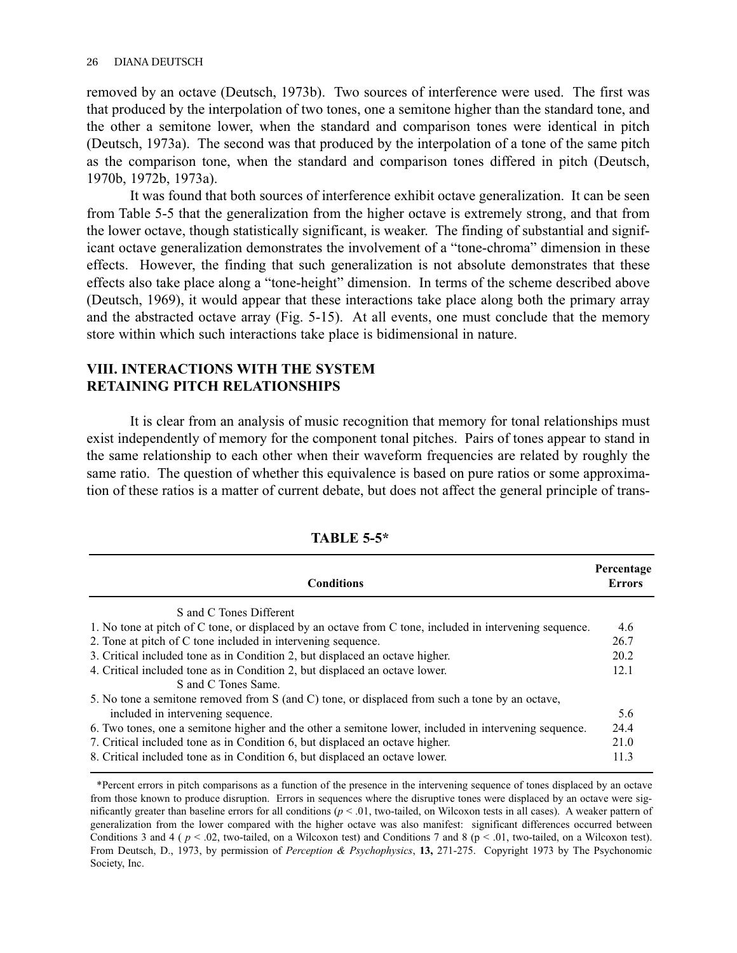removed by an octave (Deutsch, 1973b). Two sources of interference were used. The first was that produced by the interpolation of two tones, one a semitone higher than the standard tone, and the other a semitone lower, when the standard and comparison tones were identical in pitch (Deutsch, 1973a). The second was that produced by the interpolation of a tone of the same pitch as the comparison tone, when the standard and comparison tones differed in pitch (Deutsch, 1970b, 1972b, 1973a).

It was found that both sources of interference exhibit octave generalization. It can be seen from Table 5-5 that the generalization from the higher octave is extremely strong, and that from the lower octave, though statistically significant, is weaker. The finding of substantial and significant octave generalization demonstrates the involvement of a "tone-chroma" dimension in these effects. However, the finding that such generalization is not absolute demonstrates that these effects also take place along a "tone-height" dimension. In terms of the scheme described above (Deutsch, 1969), it would appear that these interactions take place along both the primary array and the abstracted octave array (Fig. 5-15). At all events, one must conclude that the memory store within which such interactions take place is bidimensional in nature.

# VIII. INTERACTIONS WITH THE SYSTEM RETAINING PITCH RELATIONSHIPS

It is clear from an analysis of music recognition that memory for tonal relationships must exist independently of memory for the component tonal pitches. Pairs of tones appear to stand in the same relationship to each other when their waveform frequencies are related by roughly the same ratio. The question of whether this equivalence is based on pure ratios or some approximation of these ratios is a matter of current debate, but does not affect the general principle of trans-

| <b>Conditions</b>                                                                                       | Percentage<br><b>Errors</b> |
|---------------------------------------------------------------------------------------------------------|-----------------------------|
| S and C Tones Different                                                                                 |                             |
| 1. No tone at pitch of C tone, or displaced by an octave from C tone, included in intervening sequence. | 4.6                         |
| 2. Tone at pitch of C tone included in intervening sequence.                                            | 26.7                        |
| 3. Critical included tone as in Condition 2, but displaced an octave higher.                            | 20.2                        |
| 4. Critical included tone as in Condition 2, but displaced an octave lower.                             | 12.1                        |
| S and C Tones Same.                                                                                     |                             |
| 5. No tone a semitone removed from S (and C) tone, or displaced from such a tone by an octave,          |                             |
| included in intervening sequence.                                                                       | 5.6                         |
| 6. Two tones, one a semitone higher and the other a semitone lower, included in intervening sequence.   | 24.4                        |
| 7. Critical included tone as in Condition 6, but displaced an octave higher.                            | 21.0                        |
| 8. Critical included tone as in Condition 6, but displaced an octave lower.                             | 11.3                        |

| <b>TABLE 5-5*</b> |  |
|-------------------|--|
|-------------------|--|

<sup>\*</sup>Percent errors in pitch comparisons as a function of the presence in the intervening sequence of tones displaced by an octave from those known to produce disruption. Errors in sequences where the disruptive tones were displaced by an octave were significantly greater than baseline errors for all conditions ( $p < 0.01$ , two-tailed, on Wilcoxon tests in all cases). A weaker pattern of generalization from the lower compared with the higher octave was also manifest: significant differences occurred between Conditions 3 and 4 ( $p < .02$ , two-tailed, on a Wilcoxon test) and Conditions 7 and 8 ( $p < .01$ , two-tailed, on a Wilcoxon test). From Deutsch, D., 1973, by permission of Perception & Psychophysics, 13, 271-275. Copyright 1973 by The Psychonomic Society, Inc.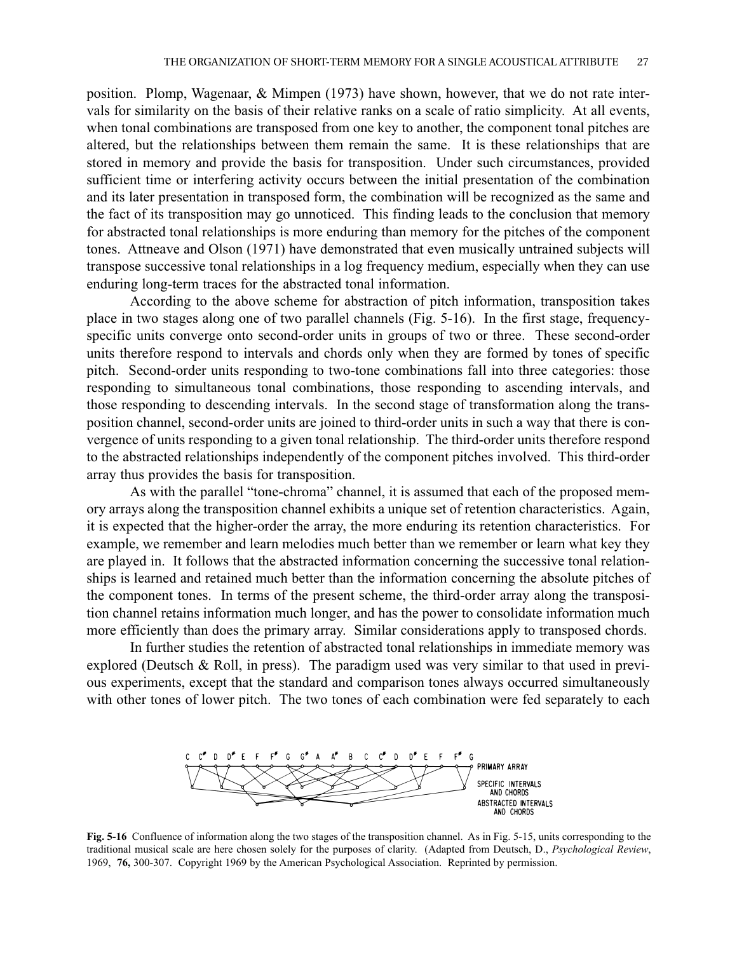position. Plomp, Wagenaar, & Mimpen (1973) have shown, however, that we do not rate intervals for similarity on the basis of their relative ranks on a scale of ratio simplicity. At all events, when tonal combinations are transposed from one key to another, the component tonal pitches are altered, but the relationships between them remain the same. It is these relationships that are stored in memory and provide the basis for transposition. Under such circumstances, provided sufficient time or interfering activity occurs between the initial presentation of the combination and its later presentation in transposed form, the combination will be recognized as the same and the fact of its transposition may go unnoticed. This finding leads to the conclusion that memory for abstracted tonal relationships is more enduring than memory for the pitches of the component tones. Attneave and Olson (1971) have demonstrated that even musically untrained subjects will transpose successive tonal relationships in a log frequency medium, especially when they can use enduring long-term traces for the abstracted tonal information.

According to the above scheme for abstraction of pitch information, transposition takes place in two stages along one of two parallel channels (Fig. 5-16). In the first stage, frequencyspecific units converge onto second-order units in groups of two or three. These second-order units therefore respond to intervals and chords only when they are formed by tones of specific pitch. Second-order units responding to two-tone combinations fall into three categories: those responding to simultaneous tonal combinations, those responding to ascending intervals, and those responding to descending intervals. In the second stage of transformation along the transposition channel, second-order units are joined to third-order units in such a way that there is convergence of units responding to a given tonal relationship. The third-order units therefore respond to the abstracted relationships independently of the component pitches involved. This third-order array thus provides the basis for transposition.

As with the parallel "tone-chroma" channel, it is assumed that each of the proposed memory arrays along the transposition channel exhibits a unique set of retention characteristics. Again, it is expected that the higher-order the array, the more enduring its retention characteristics. For example, we remember and learn melodies much better than we remember or learn what key they are played in. It follows that the abstracted information concerning the successive tonal relationships is learned and retained much better than the information concerning the absolute pitches of the component tones. In terms of the present scheme, the third-order array along the transposition channel retains information much longer, and has the power to consolidate information much more efficiently than does the primary array. Similar considerations apply to transposed chords.

In further studies the retention of abstracted tonal relationships in immediate memory was explored (Deutsch & Roll, in press). The paradigm used was very similar to that used in previous experiments, except that the standard and comparison tones always occurred simultaneously with other tones of lower pitch. The two tones of each combination were fed separately to each



Fig. 5-16 Confluence of information along the two stages of the transposition channel. As in Fig. 5-15, units corresponding to the traditional musical scale are here chosen solely for the purposes of clarity. (Adapted from Deutsch, D., Psychological Review, 1969, 76, 300-307. Copyright 1969 by the American Psychological Association. Reprinted by permission.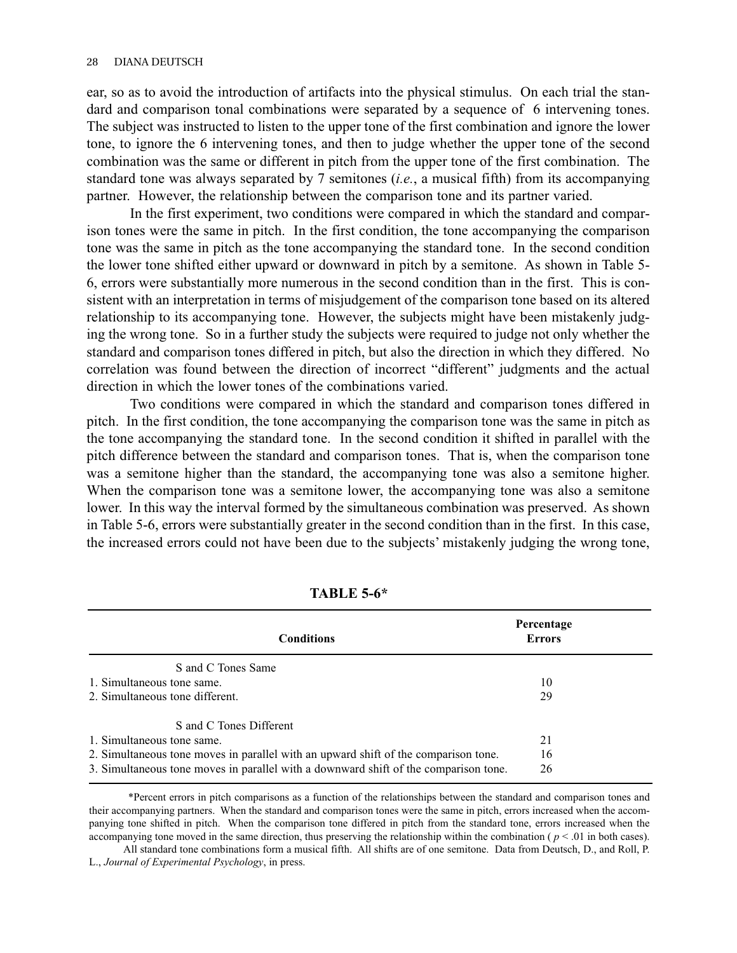ear, so as to avoid the introduction of artifacts into the physical stimulus. On each trial the standard and comparison tonal combinations were separated by a sequence of 6 intervening tones. The subject was instructed to listen to the upper tone of the first combination and ignore the lower tone, to ignore the 6 intervening tones, and then to judge whether the upper tone of the second combination was the same or different in pitch from the upper tone of the first combination. The standard tone was always separated by 7 semitones  $(i.e., a musical fifth)$  from its accompanying partner. However, the relationship between the comparison tone and its partner varied.

In the first experiment, two conditions were compared in which the standard and comparison tones were the same in pitch. In the first condition, the tone accompanying the comparison tone was the same in pitch as the tone accompanying the standard tone. In the second condition the lower tone shifted either upward or downward in pitch by a semitone. As shown in Table 5- 6, errors were substantially more numerous in the second condition than in the first. This is consistent with an interpretation in terms of misjudgement of the comparison tone based on its altered relationship to its accompanying tone. However, the subjects might have been mistakenly judging the wrong tone. So in a further study the subjects were required to judge not only whether the standard and comparison tones differed in pitch, but also the direction in which they differed. No correlation was found between the direction of incorrect "different" judgments and the actual direction in which the lower tones of the combinations varied.

Two conditions were compared in which the standard and comparison tones differed in pitch. In the first condition, the tone accompanying the comparison tone was the same in pitch as the tone accompanying the standard tone. In the second condition it shifted in parallel with the pitch difference between the standard and comparison tones. That is, when the comparison tone was a semitone higher than the standard, the accompanying tone was also a semitone higher. When the comparison tone was a semitone lower, the accompanying tone was also a semitone lower. In this way the interval formed by the simultaneous combination was preserved. As shown in Table 5-6, errors were substantially greater in the second condition than in the first. In this case, the increased errors could not have been due to the subjects' mistakenly judging the wrong tone,

| <b>Conditions</b>                                                                    | Percentage<br><b>Errors</b> |  |
|--------------------------------------------------------------------------------------|-----------------------------|--|
| S and C Tones Same                                                                   |                             |  |
| 1. Simultaneous tone same.                                                           | 10                          |  |
| 2. Simultaneous tone different.                                                      | 29                          |  |
| S and C Tones Different                                                              |                             |  |
| 1. Simultaneous tone same.                                                           | 21                          |  |
| 2. Simultaneous tone moves in parallel with an upward shift of the comparison tone.  | 16                          |  |
| 3. Simultaneous tone moves in parallel with a downward shift of the comparison tone. | 26                          |  |

TABLE 5-6\*

\*Percent errors in pitch comparisons as a function of the relationships between the standard and comparison tones and their accompanying partners. When the standard and comparison tones were the same in pitch, errors increased when the accompanying tone shifted in pitch. When the comparison tone differed in pitch from the standard tone, errors increased when the accompanying tone moved in the same direction, thus preserving the relationship within the combination ( $p < 01$  in both cases).

All standard tone combinations form a musical fifth. All shifts are of one semitone. Data from Deutsch, D., and Roll, P. L., Journal of Experimental Psychology, in press.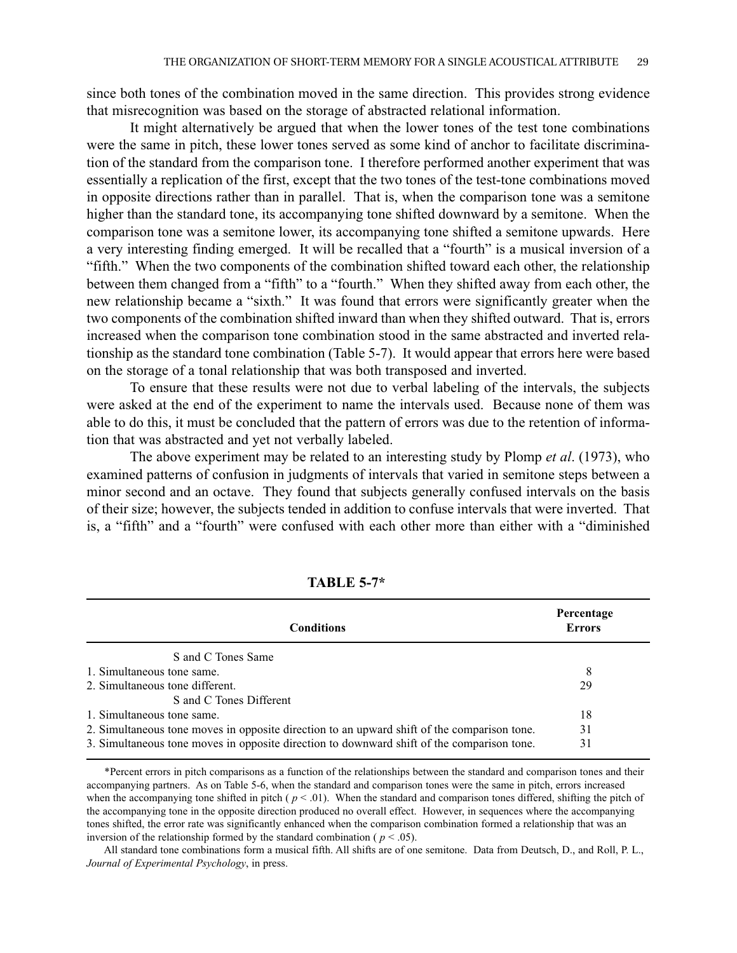since both tones of the combination moved in the same direction. This provides strong evidence that misrecognition was based on the storage of abstracted relational information.

It might alternatively be argued that when the lower tones of the test tone combinations were the same in pitch, these lower tones served as some kind of anchor to facilitate discrimination of the standard from the comparison tone. I therefore performed another experiment that was essentially a replication of the first, except that the two tones of the test-tone combinations moved in opposite directions rather than in parallel. That is, when the comparison tone was a semitone higher than the standard tone, its accompanying tone shifted downward by a semitone. When the comparison tone was a semitone lower, its accompanying tone shifted a semitone upwards. Here a very interesting finding emerged. It will be recalled that a "fourth" is a musical inversion of a "fifth." When the two components of the combination shifted toward each other, the relationship between them changed from a "fifth" to a "fourth." When they shifted away from each other, the new relationship became a "sixth." It was found that errors were significantly greater when the two components of the combination shifted inward than when they shifted outward. That is, errors increased when the comparison tone combination stood in the same abstracted and inverted relationship as the standard tone combination (Table 5-7). It would appear that errors here were based on the storage of a tonal relationship that was both transposed and inverted.

To ensure that these results were not due to verbal labeling of the intervals, the subjects were asked at the end of the experiment to name the intervals used. Because none of them was able to do this, it must be concluded that the pattern of errors was due to the retention of information that was abstracted and yet not verbally labeled.

The above experiment may be related to an interesting study by Plomp et al. (1973), who examined patterns of confusion in judgments of intervals that varied in semitone steps between a minor second and an octave. They found that subjects generally confused intervals on the basis of their size; however, the subjects tended in addition to confuse intervals that were inverted. That is, a "fifth" and a "fourth" were confused with each other more than either with a "diminished

| <b>Conditions</b>                                                                           | Percentage<br><b>Errors</b> |
|---------------------------------------------------------------------------------------------|-----------------------------|
| S and C Tones Same                                                                          |                             |
| 1. Simultaneous tone same.                                                                  | 8                           |
| 2. Simultaneous tone different.                                                             | 29                          |
| S and C Tones Different                                                                     |                             |
| 1. Simultaneous tone same.                                                                  | 18                          |
| 2. Simultaneous tone moves in opposite direction to an upward shift of the comparison tone. | 31                          |
| 3. Simultaneous tone moves in opposite direction to downward shift of the comparison tone.  | 31                          |

TABLE 5-7\*

\*Percent errors in pitch comparisons as a function of the relationships between the standard and comparison tones and their accompanying partners. As on Table 5-6, when the standard and comparison tones were the same in pitch, errors increased when the accompanying tone shifted in pitch ( $p < .01$ ). When the standard and comparison tones differed, shifting the pitch of the accompanying tone in the opposite direction produced no overall effect. However, in sequences where the accompanying tones shifted, the error rate was significantly enhanced when the comparison combination formed a relationship that was an inversion of the relationship formed by the standard combination ( $p < .05$ ).

All standard tone combinations form a musical fifth. All shifts are of one semitone. Data from Deutsch, D., and Roll, P. L., Journal of Experimental Psychology, in press.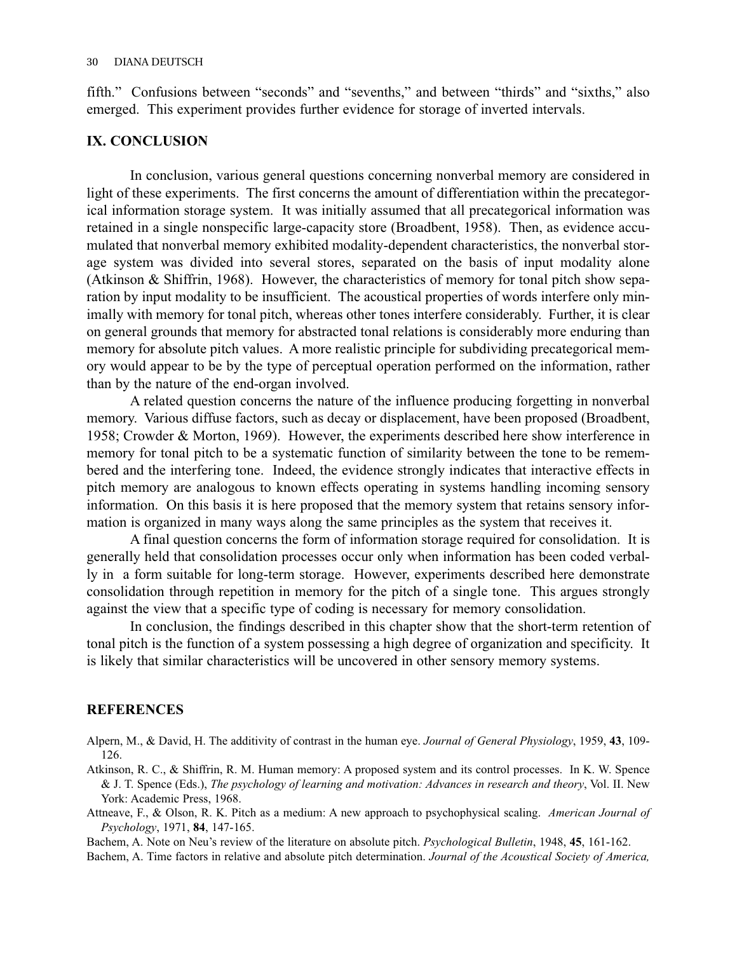fifth." Confusions between "seconds" and "sevenths," and between "thirds" and "sixths," also emerged. This experiment provides further evidence for storage of inverted intervals.

## IX. CONCLUSION

In conclusion, various general questions concerning nonverbal memory are considered in light of these experiments. The first concerns the amount of differentiation within the precategorical information storage system. It was initially assumed that all precategorical information was retained in a single nonspecific large-capacity store (Broadbent, 1958). Then, as evidence accumulated that nonverbal memory exhibited modality-dependent characteristics, the nonverbal storage system was divided into several stores, separated on the basis of input modality alone (Atkinson & Shiffrin, 1968). However, the characteristics of memory for tonal pitch show separation by input modality to be insufficient. The acoustical properties of words interfere only minimally with memory for tonal pitch, whereas other tones interfere considerably. Further, it is clear on general grounds that memory for abstracted tonal relations is considerably more enduring than memory for absolute pitch values. A more realistic principle for subdividing precategorical memory would appear to be by the type of perceptual operation performed on the information, rather than by the nature of the end-organ involved.

A related question concerns the nature of the influence producing forgetting in nonverbal memory. Various diffuse factors, such as decay or displacement, have been proposed (Broadbent, 1958; Crowder & Morton, 1969). However, the experiments described here show interference in memory for tonal pitch to be a systematic function of similarity between the tone to be remembered and the interfering tone. Indeed, the evidence strongly indicates that interactive effects in pitch memory are analogous to known effects operating in systems handling incoming sensory information. On this basis it is here proposed that the memory system that retains sensory information is organized in many ways along the same principles as the system that receives it.

A final question concerns the form of information storage required for consolidation. It is generally held that consolidation processes occur only when information has been coded verbally in a form suitable for long-term storage. However, experiments described here demonstrate consolidation through repetition in memory for the pitch of a single tone. This argues strongly against the view that a specific type of coding is necessary for memory consolidation.

In conclusion, the findings described in this chapter show that the short-term retention of tonal pitch is the function of a system possessing a high degree of organization and specificity. It is likely that similar characteristics will be uncovered in other sensory memory systems.

#### **REFERENCES**

Alpern, M., & David, H. The additivity of contrast in the human eye. Journal of General Physiology, 1959, 43, 109-126.

Atkinson, R. C., & Shiffrin, R. M. Human memory: A proposed system and its control processes. In K. W. Spence & J. T. Spence (Eds.), The psychology of learning and motivation: Advances in research and theory, Vol. II. New York: Academic Press, 1968.

Attneave, F., & Olson, R. K. Pitch as a medium: A new approach to psychophysical scaling. American Journal of Psychology, 1971, 84, 147-165.

Bachem, A. Note on Neu's review of the literature on absolute pitch. *Psychological Bulletin*, 1948, 45, 161-162.

Bachem, A. Time factors in relative and absolute pitch determination. Journal of the Acoustical Society of America,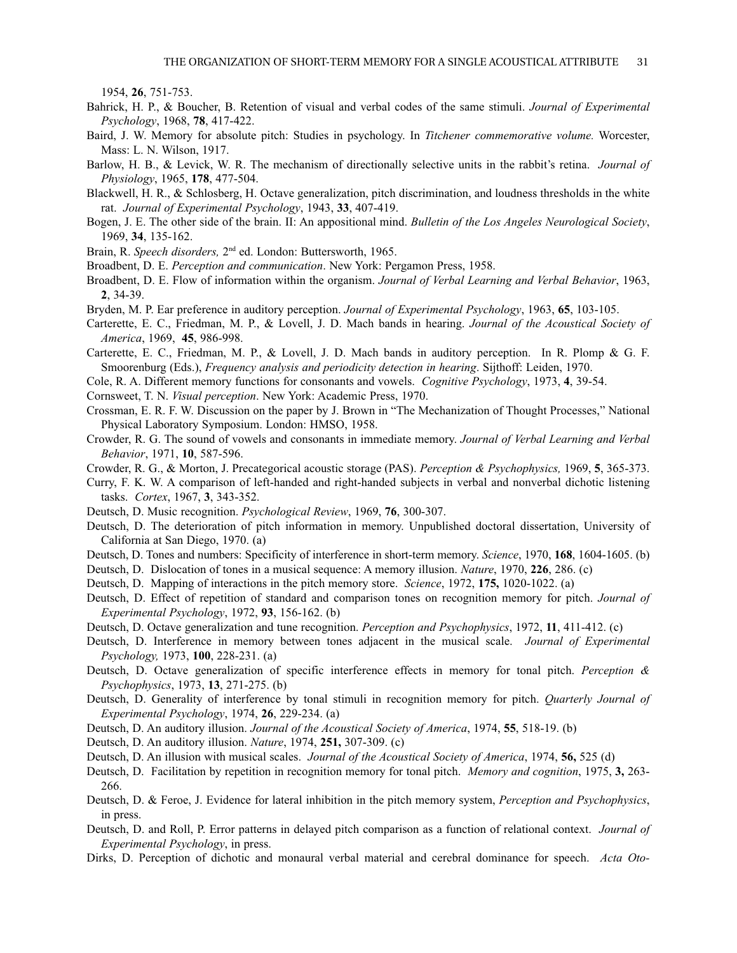1954, 26, 751-753.

- Bahrick, H. P., & Boucher, B. Retention of visual and verbal codes of the same stimuli. Journal of Experimental Psychology, 1968, 78, 417-422.
- Baird, J. W. Memory for absolute pitch: Studies in psychology. In Titchener commemorative volume. Worcester, Mass: L. N. Wilson, 1917.
- Barlow, H. B., & Levick, W. R. The mechanism of directionally selective units in the rabbit's retina. Journal of Physiology, 1965, 178, 477-504.
- Blackwell, H. R., & Schlosberg, H. Octave generalization, pitch discrimination, and loudness thresholds in the white rat. Journal of Experimental Psychology, 1943, 33, 407-419.
- Bogen, J. E. The other side of the brain. II: An appositional mind. Bulletin of the Los Angeles Neurological Society, 1969, 34, 135-162.
- Brain, R. Speech disorders, 2<sup>nd</sup> ed. London: Buttersworth, 1965.
- Broadbent, D. E. Perception and communication. New York: Pergamon Press, 1958.
- Broadbent, D. E. Flow of information within the organism. Journal of Verbal Learning and Verbal Behavior, 1963, 2, 34-39.
- Bryden, M. P. Ear preference in auditory perception. Journal of Experimental Psychology, 1963, 65, 103-105.
- Carterette, E. C., Friedman, M. P., & Lovell, J. D. Mach bands in hearing. Journal of the Acoustical Society of America, 1969, 45, 986-998.
- Carterette, E. C., Friedman, M. P., & Lovell, J. D. Mach bands in auditory perception. In R. Plomp & G. F. Smoorenburg (Eds.), Frequency analysis and periodicity detection in hearing. Sijthoff: Leiden, 1970.
- Cole, R. A. Different memory functions for consonants and vowels. Cognitive Psychology, 1973, 4, 39-54.
- Cornsweet, T. N. Visual perception. New York: Academic Press, 1970.
- Crossman, E. R. F. W. Discussion on the paper by J. Brown in "The Mechanization of Thought Processes," National Physical Laboratory Symposium. London: HMSO, 1958.
- Crowder, R. G. The sound of vowels and consonants in immediate memory. Journal of Verbal Learning and Verbal Behavior, 1971, 10, 587-596.
- Crowder, R. G., & Morton, J. Precategorical acoustic storage (PAS). Perception & Psychophysics, 1969, 5, 365-373.
- Curry, F. K. W. A comparison of left-handed and right-handed subjects in verbal and nonverbal dichotic listening tasks. Cortex, 1967, 3, 343-352.
- Deutsch, D. Music recognition. Psychological Review, 1969, 76, 300-307.
- Deutsch, D. The deterioration of pitch information in memory. Unpublished doctoral dissertation, University of California at San Diego, 1970. (a)
- Deutsch, D. Tones and numbers: Specificity of interference in short-term memory. Science, 1970, 168, 1604-1605. (b)
- Deutsch, D. Dislocation of tones in a musical sequence: A memory illusion. Nature, 1970, 226, 286. (c)
- Deutsch, D. Mapping of interactions in the pitch memory store. Science, 1972, 175, 1020-1022. (a)
- Deutsch, D. Effect of repetition of standard and comparison tones on recognition memory for pitch. Journal of Experimental Psychology, 1972, 93, 156-162. (b)
- Deutsch, D. Octave generalization and tune recognition. Perception and Psychophysics, 1972, 11, 411-412. (c)
- Deutsch, D. Interference in memory between tones adjacent in the musical scale. Journal of Experimental Psychology, 1973, 100, 228-231. (a)
- Deutsch, D. Octave generalization of specific interference effects in memory for tonal pitch. Perception & Psychophysics, 1973, 13, 271-275. (b)
- Deutsch, D. Generality of interference by tonal stimuli in recognition memory for pitch. *Quarterly Journal of* Experimental Psychology, 1974, 26, 229-234. (a)
- Deutsch, D. An auditory illusion. Journal of the Acoustical Society of America, 1974, 55, 518-19. (b)
- Deutsch, D. An auditory illusion. Nature, 1974, 251, 307-309. (c)
- Deutsch, D. An illusion with musical scales. *Journal of the Acoustical Society of America*, 1974, **56**, 525 (d)
- Deutsch, D. Facilitation by repetition in recognition memory for tonal pitch. Memory and cognition, 1975, 3, 263-266.
- Deutsch, D. & Feroe, J. Evidence for lateral inhibition in the pitch memory system, Perception and Psychophysics, in press.
- Deutsch, D. and Roll, P. Error patterns in delayed pitch comparison as a function of relational context. *Journal of* Experimental Psychology, in press.
- Dirks, D. Perception of dichotic and monaural verbal material and cerebral dominance for speech. Acta Oto-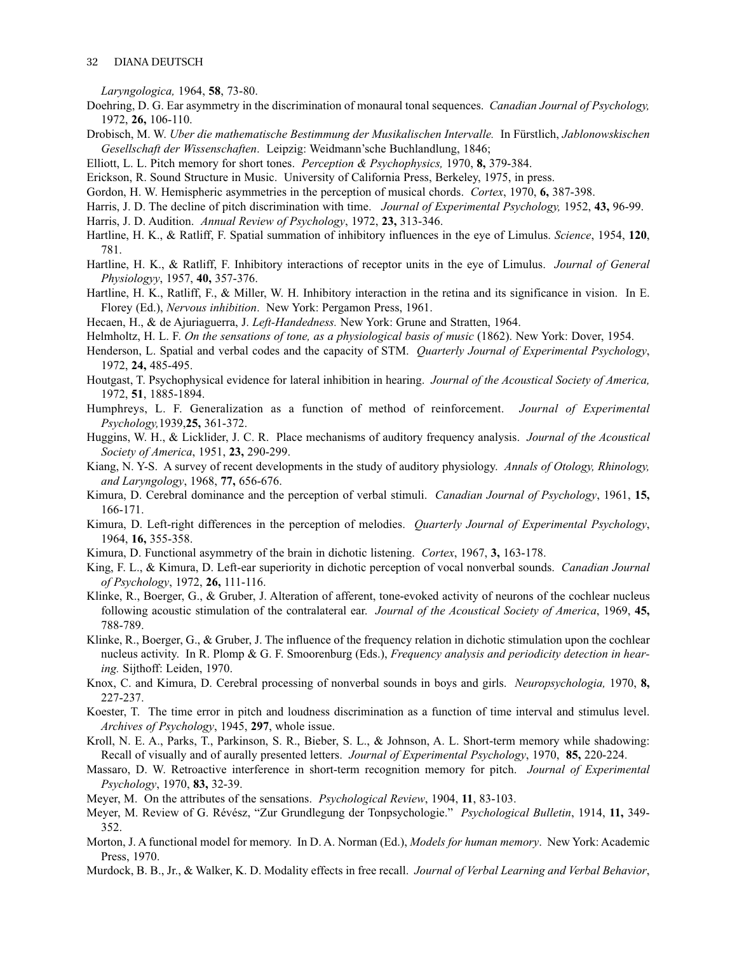Laryngologica, 1964, 58, 73-80.

- Doehring, D. G. Ear asymmetry in the discrimination of monaural tonal sequences. Canadian Journal of Psychology, 1972, 26, 106-110.
- Drobisch, M. W. Uber die mathematische Bestimmung der Musikalischen Intervalle. In Fürstlich, Jablonowskischen Gesellschaft der Wissenschaften. Leipzig: Weidmann'sche Buchlandlung, 1846;
- Elliott, L. L. Pitch memory for short tones. Perception & Psychophysics, 1970, 8, 379-384.
- Erickson, R. Sound Structure in Music. University of California Press, Berkeley, 1975, in press.
- Gordon, H. W. Hemispheric asymmetries in the perception of musical chords. *Cortex*, 1970, 6, 387-398.
- Harris, J. D. The decline of pitch discrimination with time. *Journal of Experimental Psychology*, 1952, 43, 96-99.
- Harris, J. D. Audition. Annual Review of Psychology, 1972, 23, 313-346.
- Hartline, H. K., & Ratliff, F. Spatial summation of inhibitory influences in the eye of Limulus. Science, 1954, 120, 781.
- Hartline, H. K., & Ratliff, F. Inhibitory interactions of receptor units in the eye of Limulus. Journal of General Physiologyy, 1957, 40, 357-376.
- Hartline, H. K., Ratliff, F., & Miller, W. H. Inhibitory interaction in the retina and its significance in vision. In E. Florey (Ed.), Nervous inhibition. New York: Pergamon Press, 1961.
- Hecaen, H., & de Ajuriaguerra, J. Left-Handedness. New York: Grune and Stratten, 1964.
- Helmholtz, H. L. F. On the sensations of tone, as a physiological basis of music (1862). New York: Dover, 1954.
- Henderson, L. Spatial and verbal codes and the capacity of STM. *Quarterly Journal of Experimental Psychology*, 1972, 24, 485-495.
- Houtgast, T. Psychophysical evidence for lateral inhibition in hearing. Journal of the Acoustical Society of America, 1972, 51, 1885-1894.
- Humphreys, L. F. Generalization as a function of method of reinforcement. Journal of Experimental Psychology,1939,25, 361-372.
- Huggins, W. H., & Licklider, J. C. R. Place mechanisms of auditory frequency analysis. Journal of the Acoustical Society of America, 1951, **23,** 290-299.
- Kiang, N. Y-S. A survey of recent developments in the study of auditory physiology. Annals of Otology, Rhinology, and Laryngology, 1968, 77, 656-676.
- Kimura, D. Cerebral dominance and the perception of verbal stimuli. *Canadian Journal of Psychology*, 1961, 15, 166-171.
- Kimura, D. Left-right differences in the perception of melodies. Quarterly Journal of Experimental Psychology, 1964, 16, 355-358.
- Kimura, D. Functional asymmetry of the brain in dichotic listening. *Cortex*, 1967, 3, 163-178.
- King, F. L., & Kimura, D. Left-ear superiority in dichotic perception of vocal nonverbal sounds. Canadian Journal of Psychology, 1972, 26, 111-116.
- Klinke, R., Boerger, G., & Gruber, J. Alteration of afferent, tone-evoked activity of neurons of the cochlear nucleus following acoustic stimulation of the contralateral ear. Journal of the Acoustical Society of America, 1969, 45, 788-789.
- Klinke, R., Boerger, G., & Gruber, J. The influence of the frequency relation in dichotic stimulation upon the cochlear nucleus activity. In R. Plomp & G. F. Smoorenburg (Eds.), *Frequency analysis and periodicity detection in hear*ing. Sijthoff: Leiden, 1970.
- Knox, C. and Kimura, D. Cerebral processing of nonverbal sounds in boys and girls. Neuropsychologia, 1970, 8, 227-237.
- Koester, T. The time error in pitch and loudness discrimination as a function of time interval and stimulus level. Archives of Psychology, 1945, 297, whole issue.
- Kroll, N. E. A., Parks, T., Parkinson, S. R., Bieber, S. L., & Johnson, A. L. Short-term memory while shadowing: Recall of visually and of aurally presented letters. Journal of Experimental Psychology, 1970, 85, 220-224.
- Massaro, D. W. Retroactive interference in short-term recognition memory for pitch. *Journal of Experimental* Psychology, 1970, 83, 32-39.
- Meyer, M. On the attributes of the sensations. Psychological Review, 1904, 11, 83-103.
- Meyer, M. Review of G. Révész, "Zur Grundlegung der Tonpsychologie." Psychological Bulletin, 1914, 11, 349- 352.
- Morton, J. A functional model for memory. In D. A. Norman (Ed.), Models for human memory. New York: Academic Press, 1970.
- Murdock, B. B., Jr., & Walker, K. D. Modality effects in free recall. Journal of Verbal Learning and Verbal Behavior,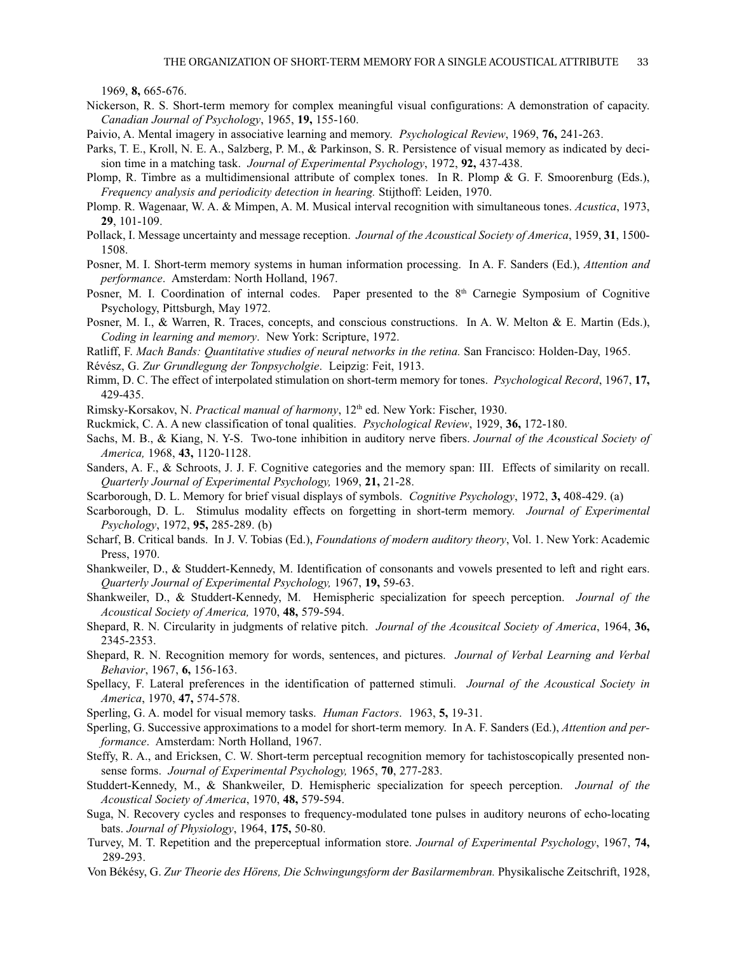1969, 8, 665-676.

- Nickerson, R. S. Short-term memory for complex meaningful visual configurations: A demonstration of capacity. Canadian Journal of Psychology, 1965, 19, 155-160.
- Paivio, A. Mental imagery in associative learning and memory. Psychological Review, 1969, 76, 241-263.
- Parks, T. E., Kroll, N. E. A., Salzberg, P. M., & Parkinson, S. R. Persistence of visual memory as indicated by decision time in a matching task. Journal of Experimental Psychology, 1972, 92, 437-438.
- Plomp, R. Timbre as a multidimensional attribute of complex tones. In R. Plomp & G. F. Smoorenburg (Eds.), Frequency analysis and periodicity detection in hearing. Stijthoff: Leiden, 1970.
- Plomp. R. Wagenaar, W. A. & Mimpen, A. M. Musical interval recognition with simultaneous tones. Acustica, 1973, 29, 101-109.
- Pollack, I. Message uncertainty and message reception. Journal of the Acoustical Society of America, 1959, 31, 1500-1508.
- Posner, M. I. Short-term memory systems in human information processing. In A. F. Sanders (Ed.), Attention and performance. Amsterdam: North Holland, 1967.
- Posner, M. I. Coordination of internal codes. Paper presented to the 8<sup>th</sup> Carnegie Symposium of Cognitive Psychology, Pittsburgh, May 1972.
- Posner, M. I., & Warren, R. Traces, concepts, and conscious constructions. In A. W. Melton & E. Martin (Eds.), Coding in learning and memory. New York: Scripture, 1972.
- Ratliff, F. Mach Bands: Quantitative studies of neural networks in the retina. San Francisco: Holden-Day, 1965.
- Révész, G. Zur Grundlegung der Tonpsycholgie. Leipzig: Feit, 1913.
- Rimm, D. C. The effect of interpolated stimulation on short-term memory for tones. Psychological Record, 1967, 17, 429-435.
- Rimsky-Korsakov, N. Practical manual of harmony, 12<sup>th</sup> ed. New York: Fischer, 1930.
- Ruckmick, C. A. A new classification of tonal qualities. Psychological Review, 1929, 36, 172-180.
- Sachs, M. B., & Kiang, N. Y-S. Two-tone inhibition in auditory nerve fibers. Journal of the Acoustical Society of America, 1968, 43, 1120-1128.
- Sanders, A. F., & Schroots, J. J. F. Cognitive categories and the memory span: III. Effects of similarity on recall. Quarterly Journal of Experimental Psychology, 1969, 21, 21-28.
- Scarborough, D. L. Memory for brief visual displays of symbols. *Cognitive Psychology*, 1972, 3, 408-429. (a)
- Scarborough, D. L. Stimulus modality effects on forgetting in short-term memory. Journal of Experimental Psychology, 1972, 95, 285-289. (b)
- Scharf, B. Critical bands. In J. V. Tobias (Ed.), Foundations of modern auditory theory, Vol. 1. New York: Academic Press, 1970.
- Shankweiler, D., & Studdert-Kennedy, M. Identification of consonants and vowels presented to left and right ears. Quarterly Journal of Experimental Psychology, 1967, 19, 59-63.
- Shankweiler, D., & Studdert-Kennedy, M. Hemispheric specialization for speech perception. Journal of the Acoustical Society of America, 1970, 48, 579-594.
- Shepard, R. N. Circularity in judgments of relative pitch. *Journal of the Acousitcal Society of America*, 1964, 36, 2345-2353.
- Shepard, R. N. Recognition memory for words, sentences, and pictures. Journal of Verbal Learning and Verbal Behavior, 1967, 6, 156-163.
- Spellacy, F. Lateral preferences in the identification of patterned stimuli. Journal of the Acoustical Society in America, 1970, 47, 574-578.
- Sperling, G. A. model for visual memory tasks. Human Factors. 1963, 5, 19-31.
- Sperling, G. Successive approximations to a model for short-term memory. In A. F. Sanders (Ed.), Attention and performance. Amsterdam: North Holland, 1967.
- Steffy, R. A., and Ericksen, C. W. Short-term perceptual recognition memory for tachistoscopically presented nonsense forms. Journal of Experimental Psychology, 1965, 70, 277-283.
- Studdert-Kennedy, M., & Shankweiler, D. Hemispheric specialization for speech perception. Journal of the Acoustical Society of America, 1970, 48, 579-594.
- Suga, N. Recovery cycles and responses to frequency-modulated tone pulses in auditory neurons of echo-locating bats. Journal of Physiology, 1964, 175, 50-80.
- Turvey, M. T. Repetition and the preperceptual information store. Journal of Experimental Psychology, 1967, 74, 289-293.
- Von Békésy, G. Zur Theorie des Hörens, Die Schwingungsform der Basilarmembran. Physikalische Zeitschrift, 1928,